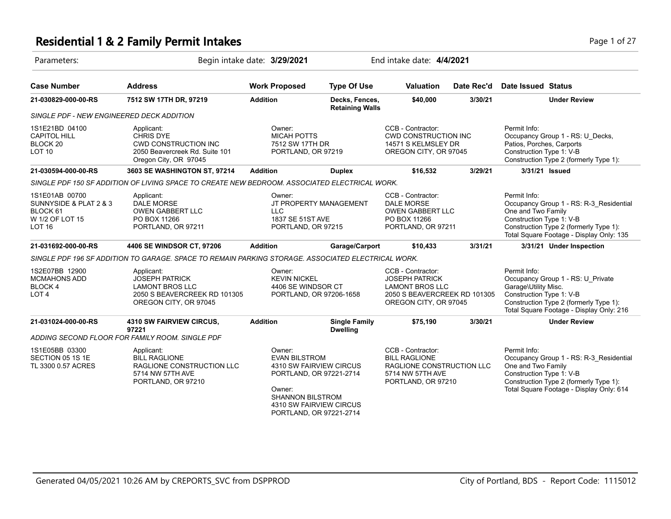## **Residential 1 & 2 Family Permit Intakes Page 1 of 27 Page 1 of 27**

| Parameters:                                                                              |                                                                                                                          | Begin intake date: 3/29/2021                                                                                                                                                    | End intake date: 4/4/2021                |                                                                                                                               |            |                                                                                                                                                                                                 |  |
|------------------------------------------------------------------------------------------|--------------------------------------------------------------------------------------------------------------------------|---------------------------------------------------------------------------------------------------------------------------------------------------------------------------------|------------------------------------------|-------------------------------------------------------------------------------------------------------------------------------|------------|-------------------------------------------------------------------------------------------------------------------------------------------------------------------------------------------------|--|
| <b>Case Number</b>                                                                       | <b>Address</b>                                                                                                           | <b>Work Proposed</b>                                                                                                                                                            | <b>Type Of Use</b>                       | <b>Valuation</b>                                                                                                              | Date Rec'd | <b>Date Issued Status</b>                                                                                                                                                                       |  |
| 21-030829-000-00-RS                                                                      | 7512 SW 17TH DR, 97219                                                                                                   | <b>Addition</b>                                                                                                                                                                 | Decks, Fences,<br><b>Retaining Walls</b> | \$40,000                                                                                                                      | 3/30/21    | <b>Under Review</b>                                                                                                                                                                             |  |
| SINGLE PDF - NEW ENGINEERED DECK ADDITION                                                |                                                                                                                          |                                                                                                                                                                                 |                                          |                                                                                                                               |            |                                                                                                                                                                                                 |  |
| 1S1E21BD 04100<br><b>CAPITOL HILL</b><br>BLOCK <sub>20</sub><br>LOT <sub>10</sub>        | Applicant:<br><b>CHRIS DYE</b><br><b>CWD CONSTRUCTION INC</b><br>2050 Beavercreek Rd. Suite 101<br>Oregon City, OR 97045 | Owner:<br><b>MICAH POTTS</b><br>7512 SW 17TH DR<br>PORTLAND, OR 97219                                                                                                           |                                          | CCB - Contractor:<br><b>CWD CONSTRUCTION INC</b><br>14571 S KELMSLEY DR<br>OREGON CITY, OR 97045                              |            | Permit Info:<br>Occupancy Group 1 - RS: U_Decks,<br>Patios, Porches, Carports<br>Construction Type 1: V-B<br>Construction Type 2 (formerly Type 1):                                             |  |
| 21-030594-000-00-RS                                                                      | 3603 SE WASHINGTON ST, 97214                                                                                             | <b>Addition</b>                                                                                                                                                                 | <b>Duplex</b>                            | \$16,532                                                                                                                      | 3/29/21    | 3/31/21 Issued                                                                                                                                                                                  |  |
|                                                                                          | SINGLE PDF 150 SF ADDITION OF LIVING SPACE TO CREATE NEW BEDROOM. ASSOCIATED ELECTRICAL WORK.                            |                                                                                                                                                                                 |                                          |                                                                                                                               |            |                                                                                                                                                                                                 |  |
| 1S1E01AB 00700<br>SUNNYSIDE & PLAT 2 & 3<br>BLOCK 61<br>W 1/2 OF LOT 15<br><b>LOT 16</b> | Applicant:<br><b>DALE MORSE</b><br><b>OWEN GABBERT LLC</b><br>PO BOX 11266<br>PORTLAND, OR 97211                         | Owner:<br><b>LLC</b><br>1837 SE 51ST AVE<br>PORTLAND, OR 97215                                                                                                                  | JT PROPERTY MANAGEMENT                   | CCB - Contractor:<br><b>DALE MORSE</b><br><b>OWEN GABBERT LLC</b><br>PO BOX 11266<br>PORTLAND, OR 97211                       |            | Permit Info:<br>Occupancy Group 1 - RS: R-3_Residential<br>One and Two Family<br>Construction Type 1: V-B<br>Construction Type 2 (formerly Type 1):<br>Total Square Footage - Display Only: 135 |  |
| 21-031692-000-00-RS                                                                      | 4406 SE WINDSOR CT, 97206                                                                                                | <b>Addition</b>                                                                                                                                                                 | Garage/Carport                           | \$10,433                                                                                                                      | 3/31/21    | 3/31/21 Under Inspection                                                                                                                                                                        |  |
|                                                                                          | SINGLE PDF 196 SF ADDITION TO GARAGE. SPACE TO REMAIN PARKING STORAGE. ASSOCIATED ELECTRICAL WORK.                       |                                                                                                                                                                                 |                                          |                                                                                                                               |            |                                                                                                                                                                                                 |  |
| 1S2E07BB 12900<br><b>MCMAHONS ADD</b><br>BLOCK 4<br>LOT <sub>4</sub>                     | Applicant:<br><b>JOSEPH PATRICK</b><br><b>LAMONT BROS LLC</b><br>2050 S BEAVERCREEK RD 101305<br>OREGON CITY, OR 97045   | Owner:<br><b>KEVIN NICKEL</b><br>4406 SE WINDSOR CT<br>PORTLAND, OR 97206-1658                                                                                                  |                                          | CCB - Contractor:<br><b>JOSEPH PATRICK</b><br><b>LAMONT BROS LLC</b><br>2050 S BEAVERCREEK RD 101305<br>OREGON CITY, OR 97045 |            | Permit Info:<br>Occupancy Group 1 - RS: U_Private<br>Garage\Utility Misc.<br>Construction Type 1: V-B<br>Construction Type 2 (formerly Type 1):<br>Total Square Footage - Display Only: 216     |  |
| 21-031024-000-00-RS                                                                      | <b>4310 SW FAIRVIEW CIRCUS,</b>                                                                                          | <b>Addition</b>                                                                                                                                                                 | <b>Single Family</b>                     | \$75,190                                                                                                                      | 3/30/21    | <b>Under Review</b>                                                                                                                                                                             |  |
|                                                                                          | 97221<br>ADDING SECOND FLOOR FOR FAMILY ROOM. SINGLE PDF                                                                 |                                                                                                                                                                                 | <b>Dwelling</b>                          |                                                                                                                               |            |                                                                                                                                                                                                 |  |
| 1S1E05BB 03300<br>SECTION 05 1S 1E<br>TL 3300 0.57 ACRES                                 | Applicant:<br><b>BILL RAGLIONE</b><br>RAGLIONE CONSTRUCTION LLC<br>5714 NW 57TH AVE<br>PORTLAND, OR 97210                | Owner:<br><b>EVAN BILSTROM</b><br>4310 SW FAIRVIEW CIRCUS<br>PORTLAND, OR 97221-2714<br>Owner:<br><b>SHANNON BILSTROM</b><br>4310 SW FAIRVIEW CIRCUS<br>PORTLAND, OR 97221-2714 |                                          | CCB - Contractor:<br><b>BILL RAGLIONE</b><br>RAGLIONE CONSTRUCTION LLC<br>5714 NW 57TH AVE<br>PORTLAND, OR 97210              |            | Permit Info:<br>Occupancy Group 1 - RS: R-3_Residential<br>One and Two Family<br>Construction Type 1: V-B<br>Construction Type 2 (formerly Type 1):<br>Total Square Footage - Display Only: 614 |  |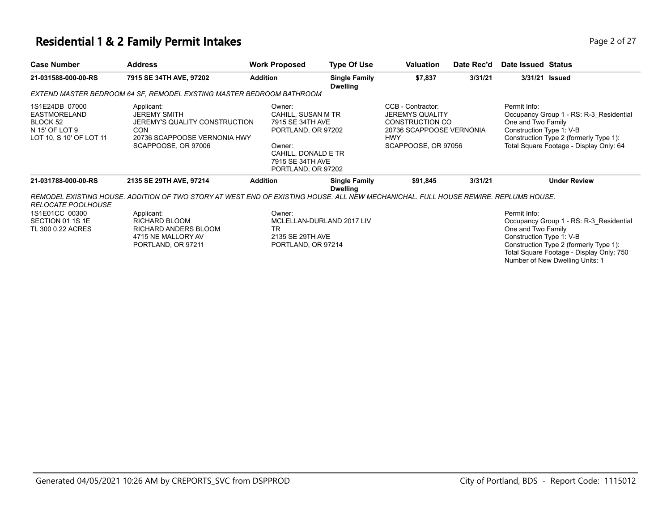#### **Residential 1 & 2 Family Permit Intakes Page 1 and 2012 12 April 2013 12 April 2013** Page 2 of 27

| <b>Case Number</b>                                                                      | <b>Address</b>                                                                                                                          | <b>Work Proposed</b>                                                                                                                              | <b>Type Of Use</b>                      | <b>Valuation</b>                                                                                                                       | Date Rec'd | Date Issued Status                                             |                                                                                                                                                                  |
|-----------------------------------------------------------------------------------------|-----------------------------------------------------------------------------------------------------------------------------------------|---------------------------------------------------------------------------------------------------------------------------------------------------|-----------------------------------------|----------------------------------------------------------------------------------------------------------------------------------------|------------|----------------------------------------------------------------|------------------------------------------------------------------------------------------------------------------------------------------------------------------|
| 21-031588-000-00-RS                                                                     | 7915 SE 34TH AVE, 97202                                                                                                                 | <b>Addition</b>                                                                                                                                   | <b>Single Family</b><br><b>Dwelling</b> | \$7,837                                                                                                                                | 3/31/21    |                                                                | 3/31/21 Issued                                                                                                                                                   |
|                                                                                         | EXTEND MASTER BEDROOM 64 SF, REMODEL EXSTING MASTER BEDROOM BATHROOM                                                                    |                                                                                                                                                   |                                         |                                                                                                                                        |            |                                                                |                                                                                                                                                                  |
| 1S1E24DB 07000<br>EASTMORELAND<br>BLOCK 52<br>N 15' OF LOT 9<br>LOT 10, S 10' OF LOT 11 | Applicant:<br><b>JEREMY SMITH</b><br>JEREMY'S QUALITY CONSTRUCTION<br><b>CON</b><br>20736 SCAPPOOSE VERNONIA HWY<br>SCAPPOOSE, OR 97006 | Owner:<br>CAHILL, SUSAN M TR<br>7915 SE 34TH AVE<br>PORTLAND, OR 97202<br>Owner:<br>CAHILL, DONALD E TR<br>7915 SE 34TH AVE<br>PORTLAND, OR 97202 |                                         | CCB - Contractor:<br><b>JEREMYS QUALITY</b><br><b>CONSTRUCTION CO</b><br>20736 SCAPPOOSE VERNONIA<br><b>HWY</b><br>SCAPPOOSE, OR 97056 |            | Permit Info:<br>One and Two Family<br>Construction Type 1: V-B | Occupancy Group 1 - RS: R-3 Residential<br>Construction Type 2 (formerly Type 1):<br>Total Square Footage - Display Only: 64                                     |
| 21-031788-000-00-RS                                                                     | 2135 SE 29TH AVE, 97214                                                                                                                 | <b>Addition</b>                                                                                                                                   | <b>Single Family</b><br><b>Dwelling</b> | \$91,845                                                                                                                               | 3/31/21    |                                                                | <b>Under Review</b>                                                                                                                                              |
| <b>RELOCATE POOLHOUSE</b>                                                               | REMODEL EXISTING HOUSE. ADDITION OF TWO STORY AT WEST END OF EXISTING HOUSE. ALL NEW MECHANICHAL. FULL HOUSE REWIRE. REPLUMB HOUSE.     |                                                                                                                                                   |                                         |                                                                                                                                        |            |                                                                |                                                                                                                                                                  |
| 1S1E01CC 00300<br>SECTION 01 1S 1E<br>TL 300 0.22 ACRES                                 | Applicant:<br><b>RICHARD BLOOM</b><br>RICHARD ANDERS BLOOM<br>4715 NE MALLORY AV<br>PORTLAND, OR 97211                                  | Owner:<br>TR<br>2135 SE 29TH AVE<br>PORTLAND, OR 97214                                                                                            | MCLELLAN-DURLAND 2017 LIV               |                                                                                                                                        |            | Permit Info:<br>One and Two Family<br>Construction Type 1: V-B | Occupancy Group 1 - RS: R-3_Residential<br>Construction Type 2 (formerly Type 1):<br>Total Square Footage - Display Only: 750<br>Number of New Dwelling Units: 1 |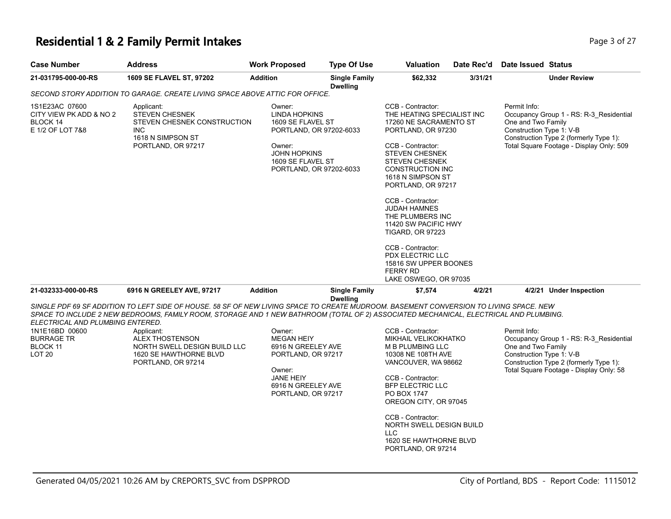### **Residential 1 & 2 Family Permit Intakes Page 1 and 27 and 27 and 27 and 27 and 27 and 27 and 27 and 27 and 27 and 27 and 27 and 27 and 27 and 27 and 27 and 27 and 27 and 27 and 27 and 27 and 27 and 27 and 27 and 27 and**

| <b>Case Number</b>                                                                                   | <b>Address</b>                                                                                                                                                                                                                                                                                                                                                                                          | <b>Work Proposed</b>                                                                                                                                            | <b>Type Of Use</b>                      | Valuation                                                                                                                                                                                                                                                                                                                                                                                                                                                                            | Date Rec'd | Date Issued Status                                                                                                                                                                              |
|------------------------------------------------------------------------------------------------------|---------------------------------------------------------------------------------------------------------------------------------------------------------------------------------------------------------------------------------------------------------------------------------------------------------------------------------------------------------------------------------------------------------|-----------------------------------------------------------------------------------------------------------------------------------------------------------------|-----------------------------------------|--------------------------------------------------------------------------------------------------------------------------------------------------------------------------------------------------------------------------------------------------------------------------------------------------------------------------------------------------------------------------------------------------------------------------------------------------------------------------------------|------------|-------------------------------------------------------------------------------------------------------------------------------------------------------------------------------------------------|
| 21-031795-000-00-RS                                                                                  | 1609 SE FLAVEL ST, 97202                                                                                                                                                                                                                                                                                                                                                                                | <b>Addition</b>                                                                                                                                                 | <b>Single Family</b><br><b>Dwelling</b> | \$62,332                                                                                                                                                                                                                                                                                                                                                                                                                                                                             | 3/31/21    | <b>Under Review</b>                                                                                                                                                                             |
|                                                                                                      | SECOND STORY ADDITION TO GARAGE. CREATE LIVING SPACE ABOVE ATTIC FOR OFFICE.                                                                                                                                                                                                                                                                                                                            |                                                                                                                                                                 |                                         |                                                                                                                                                                                                                                                                                                                                                                                                                                                                                      |            |                                                                                                                                                                                                 |
| 1S1E23AC 07600<br>CITY VIEW PK ADD & NO 2<br>BLOCK 14<br>E 1/2 OF LOT 7&8                            | Applicant:<br><b>STEVEN CHESNEK</b><br>STEVEN CHESNEK CONSTRUCTION<br><b>INC</b><br>1618 N SIMPSON ST<br>PORTLAND, OR 97217                                                                                                                                                                                                                                                                             | Owner:<br><b>LINDA HOPKINS</b><br>1609 SE FLAVEL ST<br>PORTLAND, OR 97202-6033<br>Owner:<br><b>JOHN HOPKINS</b><br>1609 SE FLAVEL ST<br>PORTLAND, OR 97202-6033 |                                         | CCB - Contractor:<br>THE HEATING SPECIALIST INC<br>17260 NE SACRAMENTO ST<br>PORTLAND, OR 97230<br>CCB - Contractor:<br><b>STEVEN CHESNEK</b><br><b>STEVEN CHESNEK</b><br><b>CONSTRUCTION INC</b><br>1618 N SIMPSON ST<br>PORTLAND, OR 97217<br>CCB - Contractor:<br><b>JUDAH HAMNES</b><br>THE PLUMBERS INC<br>11420 SW PACIFIC HWY<br><b>TIGARD, OR 97223</b><br>CCB - Contractor:<br><b>PDX ELECTRIC LLC</b><br>15816 SW UPPER BOONES<br><b>FERRY RD</b><br>LAKE OSWEGO, OR 97035 |            | Permit Info:<br>Occupancy Group 1 - RS: R-3_Residential<br>One and Two Family<br>Construction Type 1: V-B<br>Construction Type 2 (formerly Type 1):<br>Total Square Footage - Display Only: 509 |
| 21-032333-000-00-RS                                                                                  | 6916 N GREELEY AVE, 97217                                                                                                                                                                                                                                                                                                                                                                               | <b>Addition</b>                                                                                                                                                 | <b>Single Family</b>                    | \$7,574                                                                                                                                                                                                                                                                                                                                                                                                                                                                              | 4/2/21     | 4/2/21 Under Inspection                                                                                                                                                                         |
| ELECTRICAL AND PLUMBING ENTERED.<br>1N1E16BD 00600<br><b>BURRAGE TR</b><br>BLOCK 11<br><b>LOT 20</b> | SINGLE PDF 69 SF ADDITION TO LEFT SIDE OF HOUSE. 58 SF OF NEW LIVING SPACE TO CREATE MUDROOM. BASEMENT CONVERSION TO LIVING SPACE. NEW<br>SPACE TO INCLUDE 2 NEW BEDROOMS, FAMILY ROOM, STORAGE AND 1 NEW BATHROOM (TOTAL OF 2) ASSOCIATED MECHANICAL, ELECTRICAL AND PLUMBING.<br>Applicant:<br><b>ALEX THOSTENSON</b><br>NORTH SWELL DESIGN BUILD LLC<br>1620 SE HAWTHORNE BLVD<br>PORTLAND, OR 97214 | Owner:<br><b>MEGAN HEIY</b><br>6916 N GREELEY AVE<br>PORTLAND, OR 97217<br>Owner:<br><b>JANE HEIY</b><br>6916 N GREELEY AVE<br>PORTLAND, OR 97217               | <b>Dwelling</b>                         | CCB - Contractor:<br><b>MIKHAIL VELIKOKHATKO</b><br>M B PLUMBING LLC<br>10308 NE 108TH AVE<br>VANCOUVER, WA 98662<br>CCB - Contractor:<br><b>BFP ELECTRIC LLC</b><br>PO BOX 1747<br>OREGON CITY, OR 97045<br>CCB - Contractor:<br>NORTH SWELL DESIGN BUILD<br><b>LLC</b><br>1620 SE HAWTHORNE BLVD<br>PORTLAND, OR 97214                                                                                                                                                             |            | Permit Info:<br>Occupancy Group 1 - RS: R-3_Residential<br>One and Two Family<br>Construction Type 1: V-B<br>Construction Type 2 (formerly Type 1):<br>Total Square Footage - Display Only: 58  |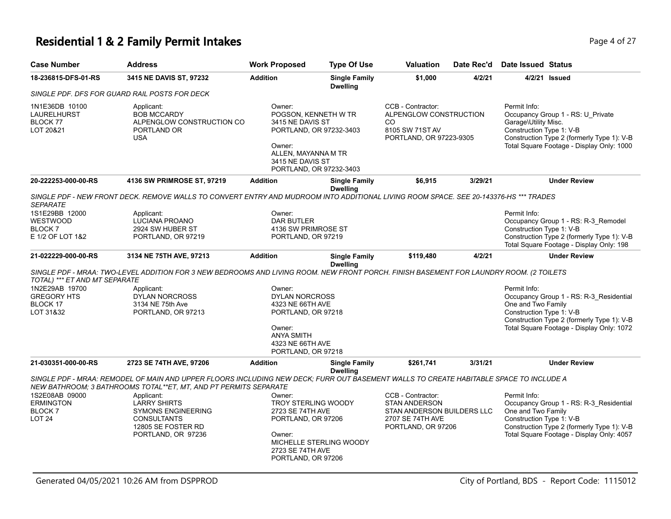# **Residential 1 & 2 Family Permit Intakes Page 4 of 27**

| <b>Case Number</b>                                                   | <b>Address</b>                                                                                                                                                                                             | <b>Work Proposed</b>                                                                                                                                          | <b>Type Of Use</b>                      | <b>Valuation</b>                                                                                                  | Date Rec'd | Date Issued Status                                                                                                                                                                                   |
|----------------------------------------------------------------------|------------------------------------------------------------------------------------------------------------------------------------------------------------------------------------------------------------|---------------------------------------------------------------------------------------------------------------------------------------------------------------|-----------------------------------------|-------------------------------------------------------------------------------------------------------------------|------------|------------------------------------------------------------------------------------------------------------------------------------------------------------------------------------------------------|
| 18-236815-DFS-01-RS                                                  | 3415 NE DAVIS ST, 97232                                                                                                                                                                                    | <b>Addition</b>                                                                                                                                               | <b>Single Family</b><br><b>Dwelling</b> | \$1,000                                                                                                           | 4/2/21     | 4/2/21 Issued                                                                                                                                                                                        |
|                                                                      | SINGLE PDF. DFS FOR GUARD RAIL POSTS FOR DECK                                                                                                                                                              |                                                                                                                                                               |                                         |                                                                                                                   |            |                                                                                                                                                                                                      |
| 1N1E36DB 10100<br><b>LAURELHURST</b><br>BLOCK 77<br>LOT 20&21        | Applicant:<br><b>BOB MCCARDY</b><br>ALPENGLOW CONSTRUCTION CO<br>PORTLAND OR<br><b>USA</b>                                                                                                                 | Owner:<br>POGSON, KENNETH W TR<br>3415 NE DAVIS ST<br>PORTLAND, OR 97232-3403<br>Owner:<br>ALLEN, MAYANNA M TR<br>3415 NE DAVIS ST<br>PORTLAND, OR 97232-3403 |                                         | CCB - Contractor:<br>ALPENGLOW CONSTRUCTION<br>CO.<br>8105 SW 71ST AV<br>PORTLAND, OR 97223-9305                  |            | Permit Info:<br>Occupancy Group 1 - RS: U_Private<br>Garage\Utility Misc.<br>Construction Type 1: V-B<br>Construction Type 2 (formerly Type 1): V-B<br>Total Square Footage - Display Only: 1000     |
| 20-222253-000-00-RS                                                  | 4136 SW PRIMROSE ST, 97219                                                                                                                                                                                 | <b>Addition</b>                                                                                                                                               | <b>Single Family</b><br><b>Dwelling</b> | \$6,915                                                                                                           | 3/29/21    | <b>Under Review</b>                                                                                                                                                                                  |
| <b>SEPARATE</b>                                                      | SINGLE PDF - NEW FRONT DECK. REMOVE WALLS TO CONVERT ENTRY AND MUDROOM INTO ADDITIONAL LIVING ROOM SPACE. SEE 20-143376-HS *** TRADES                                                                      |                                                                                                                                                               |                                         |                                                                                                                   |            |                                                                                                                                                                                                      |
| 1S1E29BB 12000                                                       | Applicant:                                                                                                                                                                                                 | Owner:                                                                                                                                                        |                                         |                                                                                                                   |            | Permit Info:                                                                                                                                                                                         |
| <b>WESTWOOD</b>                                                      | LUCIANA PROANO                                                                                                                                                                                             | <b>DAR BUTLER</b>                                                                                                                                             |                                         |                                                                                                                   |            | Occupancy Group 1 - RS: R-3_Remodel                                                                                                                                                                  |
| <b>BLOCK7</b><br>E 1/2 OF LOT 1&2                                    | 2924 SW HUBER ST<br>PORTLAND, OR 97219                                                                                                                                                                     | 4136 SW PRIMROSE ST<br>PORTLAND, OR 97219                                                                                                                     |                                         |                                                                                                                   |            | Construction Type 1: V-B<br>Construction Type 2 (formerly Type 1): V-B<br>Total Square Footage - Display Only: 198                                                                                   |
| 21-022229-000-00-RS                                                  | 3134 NE 75TH AVE, 97213                                                                                                                                                                                    | <b>Addition</b>                                                                                                                                               | <b>Single Family</b><br><b>Dwelling</b> | \$119,480                                                                                                         | 4/2/21     | <b>Under Review</b>                                                                                                                                                                                  |
| TOTAL) *** ET AND MT SEPARATE                                        | SINGLE PDF - MRAA: TWO-LEVEL ADDITION FOR 3 NEW BEDROOMS AND LIVING ROOM. NEW FRONT PORCH. FINISH BASEMENT FOR LAUNDRY ROOM. (2 TOILETS                                                                    |                                                                                                                                                               |                                         |                                                                                                                   |            |                                                                                                                                                                                                      |
| 1N2E29AB 19700<br><b>GREGORY HTS</b><br>BLOCK 17<br>LOT 31&32        | Applicant:<br><b>DYLAN NORCROSS</b><br>3134 NE 75th Ave<br>PORTLAND, OR 97213                                                                                                                              | Owner:<br><b>DYLAN NORCROSS</b><br>4323 NE 66TH AVE<br>PORTLAND, OR 97218<br>Owner:<br><b>ANYA SMITH</b><br>4323 NE 66TH AVE<br>PORTLAND, OR 97218            |                                         |                                                                                                                   |            | Permit Info:<br>Occupancy Group 1 - RS: R-3_Residential<br>One and Two Family<br>Construction Type 1: V-B<br>Construction Type 2 (formerly Type 1): V-B<br>Total Square Footage - Display Only: 1072 |
| 21-030351-000-00-RS                                                  | 2723 SE 74TH AVE, 97206                                                                                                                                                                                    | <b>Addition</b>                                                                                                                                               | <b>Single Family</b><br><b>Dwelling</b> | \$261,741                                                                                                         | 3/31/21    | <b>Under Review</b>                                                                                                                                                                                  |
|                                                                      | SINGLE PDF - MRAA: REMODEL OF MAIN AND UPPER FLOORS INCLUDING NEW DECK; FURR OUT BASEMENT WALLS TO CREATE HABITABLE SPACE TO INCLUDE A<br>NEW BATHROOM; 3 BATHROOMS TOTAL**ET, MT, AND PT PERMITS SEPARATE |                                                                                                                                                               |                                         |                                                                                                                   |            |                                                                                                                                                                                                      |
| 1S2E08AB 09000<br><b>ERMINGTON</b><br><b>BLOCK7</b><br><b>LOT 24</b> | Applicant:<br><b>LARRY SHIRTS</b><br><b>SYMONS ENGINEERING</b><br><b>CONSULTANTS</b><br>12805 SE FOSTER RD<br>PORTLAND, OR 97236                                                                           | Owner:<br><b>TROY STERLING WOODY</b><br>2723 SE 74TH AVE<br>PORTLAND, OR 97206<br>Owner:<br>MICHELLE STERLING WOODY<br>2723 SE 74TH AVE<br>PORTLAND, OR 97206 |                                         | CCB - Contractor:<br><b>STAN ANDERSON</b><br>STAN ANDERSON BUILDERS LLC<br>2707 SE 74TH AVE<br>PORTLAND, OR 97206 |            | Permit Info:<br>Occupancy Group 1 - RS: R-3_Residential<br>One and Two Family<br>Construction Type 1: V-B<br>Construction Type 2 (formerly Type 1): V-B<br>Total Square Footage - Display Only: 4057 |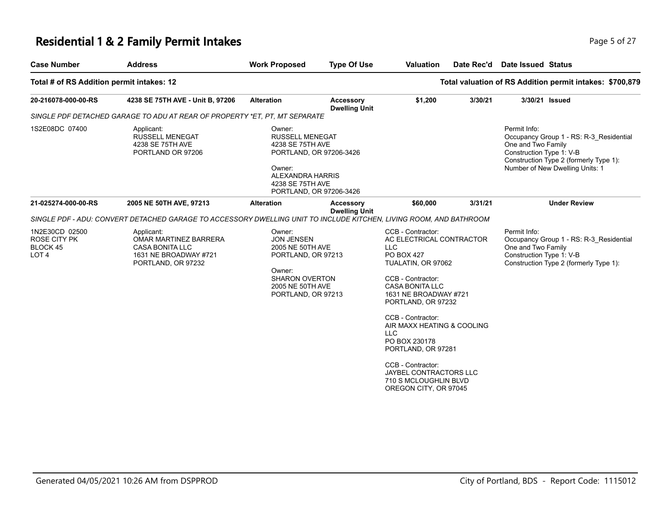# **Residential 1 & 2 Family Permit Intakes Page 1 and Security Page 1 and Security Page 5 of 27**

| <b>Case Number</b>                                                    | <b>Address</b>                                                                                                     | <b>Work Proposed</b>                                                                                                                                         | <b>Type Of Use</b>                       | <b>Valuation</b>                                                                                                                                                                                                                                                                                                                                                                                              | Date Rec'd | <b>Date Issued Status</b>                                                                                                                                                              |
|-----------------------------------------------------------------------|--------------------------------------------------------------------------------------------------------------------|--------------------------------------------------------------------------------------------------------------------------------------------------------------|------------------------------------------|---------------------------------------------------------------------------------------------------------------------------------------------------------------------------------------------------------------------------------------------------------------------------------------------------------------------------------------------------------------------------------------------------------------|------------|----------------------------------------------------------------------------------------------------------------------------------------------------------------------------------------|
| Total # of RS Addition permit intakes: 12                             |                                                                                                                    |                                                                                                                                                              |                                          |                                                                                                                                                                                                                                                                                                                                                                                                               |            | Total valuation of RS Addition permit intakes: \$700,879                                                                                                                               |
| 20-216078-000-00-RS                                                   | 4238 SE 75TH AVE - Unit B, 97206                                                                                   | <b>Alteration</b>                                                                                                                                            | <b>Accessory</b><br><b>Dwelling Unit</b> | \$1,200                                                                                                                                                                                                                                                                                                                                                                                                       | 3/30/21    | 3/30/21 Issued                                                                                                                                                                         |
|                                                                       | SINGLE PDF DETACHED GARAGE TO ADU AT REAR OF PROPERTY *ET. PT. MT SEPARATE                                         |                                                                                                                                                              |                                          |                                                                                                                                                                                                                                                                                                                                                                                                               |            |                                                                                                                                                                                        |
| 1S2E08DC 07400                                                        | Applicant:<br><b>RUSSELL MENEGAT</b><br>4238 SE 75TH AVE<br>PORTLAND OR 97206                                      | Owner:<br><b>RUSSELL MENEGAT</b><br>4238 SE 75TH AVE<br>PORTLAND, OR 97206-3426<br>Owner:<br>ALEXANDRA HARRIS<br>4238 SE 75TH AVE<br>PORTLAND, OR 97206-3426 |                                          |                                                                                                                                                                                                                                                                                                                                                                                                               |            | Permit Info:<br>Occupancy Group 1 - RS: R-3_Residential<br>One and Two Family<br>Construction Type 1: V-B<br>Construction Type 2 (formerly Type 1):<br>Number of New Dwelling Units: 1 |
| 21-025274-000-00-RS                                                   | 2005 NE 50TH AVE, 97213                                                                                            | <b>Alteration</b>                                                                                                                                            | <b>Accessory</b><br><b>Dwelling Unit</b> | \$60,000                                                                                                                                                                                                                                                                                                                                                                                                      | 3/31/21    | <b>Under Review</b>                                                                                                                                                                    |
|                                                                       | SINGLE PDF - ADU: CONVERT DETACHED GARAGE TO ACCESSORY DWELLING UNIT TO INCLUDE KITCHEN, LIVING ROOM, AND BATHROOM |                                                                                                                                                              |                                          |                                                                                                                                                                                                                                                                                                                                                                                                               |            |                                                                                                                                                                                        |
| 1N2E30CD 02500<br><b>ROSE CITY PK</b><br>BLOCK 45<br>LOT <sub>4</sub> | Applicant:<br>OMAR MARTINEZ BARRERA<br><b>CASA BONITA LLC</b><br>1631 NE BROADWAY #721<br>PORTLAND, OR 97232       | Owner:<br><b>JON JENSEN</b><br>2005 NE 50TH AVE<br>PORTLAND, OR 97213<br>Owner:<br><b>SHARON OVERTON</b><br>2005 NE 50TH AVE<br>PORTLAND, OR 97213           |                                          | CCB - Contractor:<br>AC ELECTRICAL CONTRACTOR<br><b>LLC</b><br><b>PO BOX 427</b><br>TUALATIN, OR 97062<br>CCB - Contractor:<br><b>CASA BONITA LLC</b><br>1631 NE BROADWAY #721<br>PORTLAND, OR 97232<br>CCB - Contractor:<br>AIR MAXX HEATING & COOLING<br><b>LLC</b><br>PO BOX 230178<br>PORTLAND, OR 97281<br>CCB - Contractor:<br>JAYBEL CONTRACTORS LLC<br>710 S MCLOUGHLIN BLVD<br>OREGON CITY, OR 97045 |            | Permit Info:<br>Occupancy Group 1 - RS: R-3 Residential<br>One and Two Family<br>Construction Type 1: V-B<br>Construction Type 2 (formerly Type 1):                                    |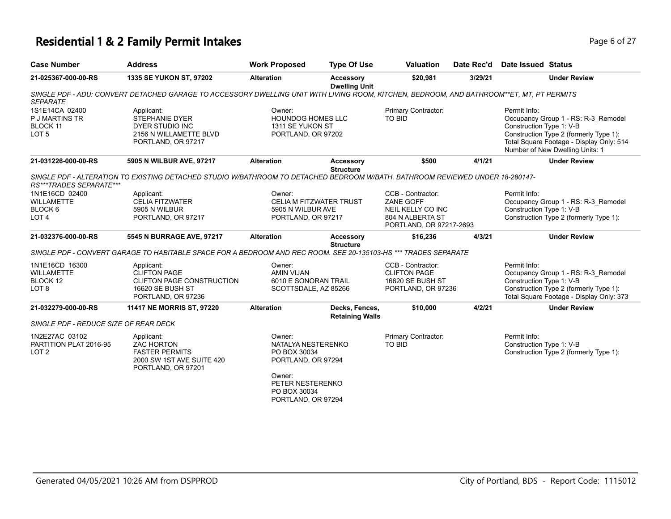# **Residential 1 & 2 Family Permit Intakes Page 6 of 27**

| <b>Case Number</b>                                                      | <b>Address</b>                                                                                                                            | <b>Work Proposed</b>                                                                                                                   | <b>Type Of Use</b>                       | <b>Valuation</b>                                                                                          | Date Rec'd | Date Issued Status                                                                                                        |                                                                                                                                                              |
|-------------------------------------------------------------------------|-------------------------------------------------------------------------------------------------------------------------------------------|----------------------------------------------------------------------------------------------------------------------------------------|------------------------------------------|-----------------------------------------------------------------------------------------------------------|------------|---------------------------------------------------------------------------------------------------------------------------|--------------------------------------------------------------------------------------------------------------------------------------------------------------|
| 21-025367-000-00-RS                                                     | 1335 SE YUKON ST, 97202                                                                                                                   | <b>Alteration</b>                                                                                                                      | <b>Accessory</b><br><b>Dwelling Unit</b> | \$20,981                                                                                                  | 3/29/21    |                                                                                                                           | <b>Under Review</b>                                                                                                                                          |
| <b>SEPARATE</b>                                                         | SINGLE PDF - ADU: CONVERT DETACHED GARAGE TO ACCESSORY DWELLING UNIT WITH LIVING ROOM, KITCHEN, BEDROOM, AND BATHROOM**ET, MT, PT PERMITS |                                                                                                                                        |                                          |                                                                                                           |            |                                                                                                                           |                                                                                                                                                              |
| 1S1E14CA 02400<br><b>P J MARTINS TR</b><br>BLOCK 11<br>LOT <sub>5</sub> | Applicant:<br><b>STEPHANIE DYER</b><br>DYER STUDIO INC<br>2156 N WILLAMETTE BLVD<br>PORTLAND, OR 97217                                    | Owner:<br><b>HOUNDOG HOMES LLC</b><br>1311 SE YUKON ST<br>PORTLAND, OR 97202                                                           |                                          | Primary Contractor:<br><b>TO BID</b>                                                                      |            | Permit Info:<br>Construction Type 1: V-B                                                                                  | Occupancy Group 1 - RS: R-3_Remodel<br>Construction Type 2 (formerly Type 1):<br>Total Square Footage - Display Only: 514<br>Number of New Dwelling Units: 1 |
| 21-031226-000-00-RS                                                     | 5905 N WILBUR AVE, 97217                                                                                                                  | <b>Alteration</b>                                                                                                                      | <b>Accessory</b>                         | \$500                                                                                                     | 4/1/21     |                                                                                                                           | <b>Under Review</b>                                                                                                                                          |
| RS***TRADES SEPARATE***                                                 | SINGLE PDF - ALTERATION TO EXISTING DETACHED STUDIO W/BATHROOM TO DETACHED BEDROOM W/BATH. BATHROOM REVIEWED UNDER 18-280147-             |                                                                                                                                        | <b>Structure</b>                         |                                                                                                           |            |                                                                                                                           |                                                                                                                                                              |
| 1N1E16CD 02400<br><b>WILLAMETTE</b><br>BLOCK 6<br>LOT <sub>4</sub>      | Applicant:<br><b>CELIA FITZWATER</b><br>5905 N WILBUR<br>PORTLAND, OR 97217                                                               | Owner:<br>CELIA M FITZWATER TRUST<br>5905 N WILBUR AVE<br>PORTLAND, OR 97217                                                           |                                          | CCB - Contractor:<br><b>ZANE GOFF</b><br>NEIL KELLY CO INC<br>804 N ALBERTA ST<br>PORTLAND, OR 97217-2693 |            | Permit Info:<br>Occupancy Group 1 - RS: R-3_Remodel<br>Construction Type 1: V-B<br>Construction Type 2 (formerly Type 1): |                                                                                                                                                              |
| 21-032376-000-00-RS                                                     | 5545 N BURRAGE AVE, 97217                                                                                                                 | <b>Alteration</b>                                                                                                                      | <b>Accessory</b><br><b>Structure</b>     | \$16,236                                                                                                  | 4/3/21     |                                                                                                                           | <b>Under Review</b>                                                                                                                                          |
|                                                                         | SINGLE PDF - CONVERT GARAGE TO HABITABLE SPACE FOR A BEDROOM AND REC ROOM. SEE 20-135103-HS *** TRADES SEPARATE                           |                                                                                                                                        |                                          |                                                                                                           |            |                                                                                                                           |                                                                                                                                                              |
| 1N1E16CD 16300<br><b>WILLAMETTE</b><br>BLOCK 12<br>LOT <sub>8</sub>     | Applicant:<br><b>CLIFTON PAGE</b><br>CLIFTON PAGE CONSTRUCTION<br>16620 SE BUSH ST<br>PORTLAND, OR 97236                                  | Owner:<br>AMIN VIJAN<br>6010 E SONORAN TRAIL<br>SCOTTSDALE, AZ 85266                                                                   |                                          | CCB - Contractor:<br><b>CLIFTON PAGE</b><br><b>16620 SE BUSH ST</b><br>PORTLAND, OR 97236                 |            | Permit Info:<br>Construction Type 1: V-B                                                                                  | Occupancy Group 1 - RS: R-3_Remodel<br>Construction Type 2 (formerly Type 1):<br>Total Square Footage - Display Only: 373                                    |
| 21-032279-000-00-RS                                                     | 11417 NE MORRIS ST, 97220                                                                                                                 | <b>Alteration</b>                                                                                                                      | Decks, Fences,                           | \$10,000                                                                                                  | 4/2/21     |                                                                                                                           | <b>Under Review</b>                                                                                                                                          |
| SINGLE PDF - REDUCE SIZE OF REAR DECK                                   |                                                                                                                                           |                                                                                                                                        | <b>Retaining Walls</b>                   |                                                                                                           |            |                                                                                                                           |                                                                                                                                                              |
| 1N2E27AC 03102<br>PARTITION PLAT 2016-95<br>LOT <sub>2</sub>            | Applicant:<br><b>ZAC HORTON</b><br><b>FASTER PERMITS</b><br>2000 SW 1ST AVE SUITE 420<br>PORTLAND, OR 97201                               | Owner:<br>NATALYA NESTERENKO<br>PO BOX 30034<br>PORTLAND, OR 97294<br>Owner:<br>PETER NESTERENKO<br>PO BOX 30034<br>PORTLAND, OR 97294 |                                          | Primary Contractor:<br><b>TO BID</b>                                                                      |            | Permit Info:<br>Construction Type 1: V-B                                                                                  | Construction Type 2 (formerly Type 1):                                                                                                                       |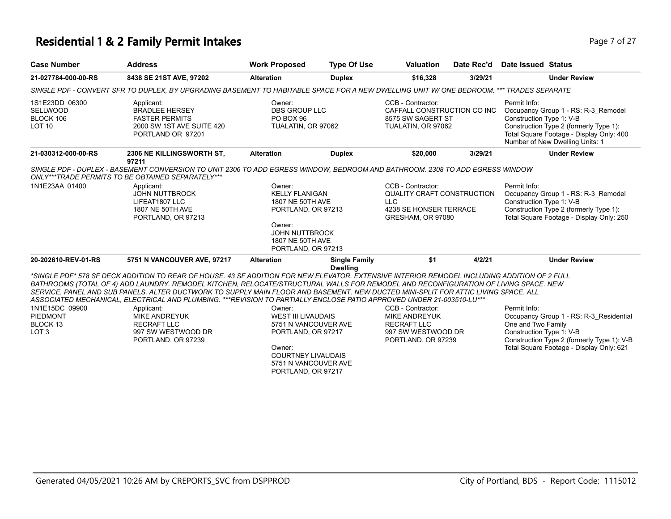### **Residential 1 & 2 Family Permit Intakes Page 7 of 27 Page 7 of 27**

| <b>Case Number</b>                                                | <b>Address</b>                                                                                                                                                                                                                                                                                                                                                                                                                                                                                                                                                                                                                                             | <b>Work Proposed</b>                                                                                                                                                   | <b>Type Of Use</b>                      | <b>Valuation</b>                                                                                                    | Date Rec'd | Date Issued Status                                                                                                                                                                                       |
|-------------------------------------------------------------------|------------------------------------------------------------------------------------------------------------------------------------------------------------------------------------------------------------------------------------------------------------------------------------------------------------------------------------------------------------------------------------------------------------------------------------------------------------------------------------------------------------------------------------------------------------------------------------------------------------------------------------------------------------|------------------------------------------------------------------------------------------------------------------------------------------------------------------------|-----------------------------------------|---------------------------------------------------------------------------------------------------------------------|------------|----------------------------------------------------------------------------------------------------------------------------------------------------------------------------------------------------------|
| 21-027784-000-00-RS                                               | 8438 SE 21ST AVE, 97202                                                                                                                                                                                                                                                                                                                                                                                                                                                                                                                                                                                                                                    | <b>Alteration</b>                                                                                                                                                      | <b>Duplex</b>                           | \$16,328                                                                                                            | 3/29/21    | <b>Under Review</b>                                                                                                                                                                                      |
|                                                                   | SINGLE PDF - CONVERT SFR TO DUPLEX, BY UPGRADING BASEMENT TO HABITABLE SPACE FOR A NEW DWELLING UNIT W/ ONE BEDROOM. *** TRADES SEPARATE                                                                                                                                                                                                                                                                                                                                                                                                                                                                                                                   |                                                                                                                                                                        |                                         |                                                                                                                     |            |                                                                                                                                                                                                          |
| 1S1E23DD 06300<br><b>SELLWOOD</b><br>BLOCK 106<br><b>LOT 10</b>   | Applicant:<br><b>BRADLEE HERSEY</b><br><b>FASTER PERMITS</b><br>2000 SW 1ST AVE SUITE 420<br>PORTLAND OR 97201                                                                                                                                                                                                                                                                                                                                                                                                                                                                                                                                             | Owner:<br><b>DBS GROUP LLC</b><br>PO BOX 96<br>TUALATIN, OR 97062                                                                                                      |                                         | CCB - Contractor:<br>CAFFALL CONSTRUCTION CO INC<br>8575 SW SAGERT ST<br>TUALATIN, OR 97062                         |            | Permit Info:<br>Occupancy Group 1 - RS: R-3_Remodel<br>Construction Type 1: V-B<br>Construction Type 2 (formerly Type 1):<br>Total Square Footage - Display Only: 400<br>Number of New Dwelling Units: 1 |
| 21-030312-000-00-RS                                               | <b>2306 NE KILLINGSWORTH ST.</b><br>97211                                                                                                                                                                                                                                                                                                                                                                                                                                                                                                                                                                                                                  | <b>Alteration</b>                                                                                                                                                      | <b>Duplex</b>                           | \$20,000                                                                                                            | 3/29/21    | <b>Under Review</b>                                                                                                                                                                                      |
|                                                                   | SINGLE PDF - DUPLEX - BASEMENT CONVERSION TO UNIT 2306 TO ADD EGRESS WINDOW, BEDROOM AND BATHROOM. 2308 TO ADD EGRESS WINDOW<br>ONLY***TRADE PERMITS TO BE OBTAINED SEPARATELY***                                                                                                                                                                                                                                                                                                                                                                                                                                                                          |                                                                                                                                                                        |                                         |                                                                                                                     |            |                                                                                                                                                                                                          |
| 1N1E23AA 01400                                                    | Applicant:<br><b>JOHN NUTTBROCK</b><br>LIFEAT1807 LLC<br>1807 NE 50TH AVE<br>PORTLAND, OR 97213                                                                                                                                                                                                                                                                                                                                                                                                                                                                                                                                                            | Owner:<br><b>KELLY FLANIGAN</b><br>1807 NE 50TH AVE<br>PORTLAND, OR 97213<br>Owner:                                                                                    |                                         | CCB - Contractor:<br><b>QUALITY CRAFT CONSTRUCTION</b><br><b>LLC</b><br>4238 SE HONSER TERRACE<br>GRESHAM, OR 97080 |            | Permit Info:<br>Occupancy Group 1 - RS: R-3 Remodel<br>Construction Type 1: V-B<br>Construction Type 2 (formerly Type 1):<br>Total Square Footage - Display Only: 250                                    |
|                                                                   |                                                                                                                                                                                                                                                                                                                                                                                                                                                                                                                                                                                                                                                            | <b>JOHN NUTTBROCK</b><br>1807 NE 50TH AVE<br>PORTLAND, OR 97213                                                                                                        |                                         |                                                                                                                     |            |                                                                                                                                                                                                          |
| 20-202610-REV-01-RS                                               | 5751 N VANCOUVER AVE, 97217                                                                                                                                                                                                                                                                                                                                                                                                                                                                                                                                                                                                                                | <b>Alteration</b>                                                                                                                                                      | <b>Single Family</b><br><b>Dwelling</b> | \$1                                                                                                                 | 4/2/21     | <b>Under Review</b>                                                                                                                                                                                      |
| 1N1E15DC 09900<br><b>PIEDMONT</b><br>BLOCK 13<br>LOT <sub>3</sub> | *SINGLE PDF* 578 SF DECK ADDITION TO REAR OF HOUSE. 43 SF ADDITION FOR NEW ELEVATOR. EXTENSIVE INTERIOR REMODEL INCLUDING ADDITION OF 2 FULL<br>BATHROOMS (TOTAL OF 4) ADD LAUNDRY. REMODEL KITCHEN, RELOCATE/STRUCTURAL WALLS FOR REMODEL AND RECONFIGURATION OF LIVING SPACE. NEW<br>SERVICE. PANEL AND SUB PANELS. ALTER DUCTWORK TO SUPPLY MAIN FLOOR AND BASEMENT. NEW DUCTED MINI-SPLIT FOR ATTIC LIVING SPACE. ALL<br>ASSOCIATED MECHANICAL, ELECTRICAL AND PLUMBING. ***REVISION TO PARTIALLY ENCLOSE PATIO APPROVED UNDER 21-003510-LU***<br>Applicant:<br><b>MIKE ANDREYUK</b><br><b>RECRAFT LLC</b><br>997 SW WESTWOOD DR<br>PORTLAND, OR 97239 | Owner:<br><b>WEST III LIVAUDAIS</b><br>5751 N VANCOUVER AVE<br>PORTLAND, OR 97217<br>Owner:<br><b>COURTNEY LIVAUDAIS</b><br>5751 N VANCOUVER AVE<br>PORTLAND, OR 97217 |                                         | CCB - Contractor:<br><b>MIKE ANDREYUK</b><br><b>RECRAFT LLC</b><br>997 SW WESTWOOD DR<br>PORTLAND, OR 97239         |            | Permit Info:<br>Occupancy Group 1 - RS: R-3_Residential<br>One and Two Family<br>Construction Type 1: V-B<br>Construction Type 2 (formerly Type 1): V-B<br>Total Square Footage - Display Only: 621      |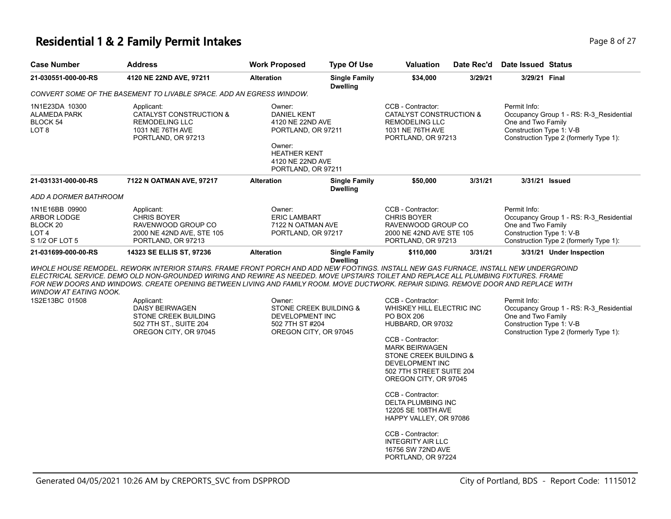### **Residential 1 & 2 Family Permit Intakes Page 1 and 27 and 27 and 27 and 27 and 27 and 27 and 27 and 27 and 27 and 27 and 27 and 27 and 27 and 27 and 27 and 27 and 27 and 27 and 27 and 27 and 27 and 27 and 27 and 27 and**

| <b>Case Number</b>                                                                            | <b>Address</b>                                                                                                                                                                                                                                                                                                                                                                                                                                                                                                                           | <b>Work Proposed</b>                                                                                                                              | <b>Type Of Use</b>                      | <b>Valuation</b>                                                                                                                                                                    | Date Rec'd | Date Issued Status                                             |                                                                                   |
|-----------------------------------------------------------------------------------------------|------------------------------------------------------------------------------------------------------------------------------------------------------------------------------------------------------------------------------------------------------------------------------------------------------------------------------------------------------------------------------------------------------------------------------------------------------------------------------------------------------------------------------------------|---------------------------------------------------------------------------------------------------------------------------------------------------|-----------------------------------------|-------------------------------------------------------------------------------------------------------------------------------------------------------------------------------------|------------|----------------------------------------------------------------|-----------------------------------------------------------------------------------|
| 21-030551-000-00-RS                                                                           | 4120 NE 22ND AVE, 97211                                                                                                                                                                                                                                                                                                                                                                                                                                                                                                                  | <b>Alteration</b>                                                                                                                                 | <b>Single Family</b><br><b>Dwelling</b> | \$34,000                                                                                                                                                                            | 3/29/21    | 3/29/21 Final                                                  |                                                                                   |
|                                                                                               | CONVERT SOME OF THE BASEMENT TO LIVABLE SPACE. ADD AN EGRESS WINDOW.                                                                                                                                                                                                                                                                                                                                                                                                                                                                     |                                                                                                                                                   |                                         |                                                                                                                                                                                     |            |                                                                |                                                                                   |
| 1N1E23DA 10300<br>ALAMEDA PARK<br>BLOCK 54<br>LOT 8                                           | Applicant:<br>CATALYST CONSTRUCTION &<br><b>REMODELING LLC</b><br>1031 NE 76TH AVE<br>PORTLAND, OR 97213                                                                                                                                                                                                                                                                                                                                                                                                                                 | Owner:<br><b>DANIEL KENT</b><br>4120 NE 22ND AVE<br>PORTLAND, OR 97211<br>Owner:<br><b>HEATHER KENT</b><br>4120 NE 22ND AVE<br>PORTLAND, OR 97211 |                                         | CCB - Contractor:<br>CATALYST CONSTRUCTION &<br>REMODELING LLC<br>1031 NE 76TH AVE<br>PORTLAND, OR 97213                                                                            |            | Permit Info:<br>One and Two Family<br>Construction Type 1: V-B | Occupancy Group 1 - RS: R-3_Residential<br>Construction Type 2 (formerly Type 1): |
| 21-031331-000-00-RS                                                                           | 7122 N OATMAN AVE, 97217                                                                                                                                                                                                                                                                                                                                                                                                                                                                                                                 | <b>Alteration</b>                                                                                                                                 | <b>Single Family</b><br><b>Dwelling</b> | \$50,000                                                                                                                                                                            | 3/31/21    | 3/31/21 Issued                                                 |                                                                                   |
| ADD A DORMER BATHROOM<br>1N1E16BB 09900<br>ARBOR LODGE<br>BLOCK 20<br>LOT 4<br>S 1/2 OF LOT 5 | Applicant:<br><b>CHRIS BOYER</b><br>RAVENWOOD GROUP CO<br>2000 NE 42ND AVE, STE 105<br>PORTLAND, OR 97213                                                                                                                                                                                                                                                                                                                                                                                                                                | Owner:<br><b>ERIC LAMBART</b><br>7122 N OATMAN AVE<br>PORTLAND, OR 97217                                                                          |                                         | CCB - Contractor:<br><b>CHRIS BOYER</b><br>RAVENWOOD GROUP CO<br>2000 NE 42ND AVE STE 105<br>PORTLAND, OR 97213                                                                     |            | Permit Info:<br>One and Two Family<br>Construction Type 1: V-B | Occupancy Group 1 - RS: R-3_Residential<br>Construction Type 2 (formerly Type 1): |
| 21-031699-000-00-RS                                                                           | 14323 SE ELLIS ST, 97236                                                                                                                                                                                                                                                                                                                                                                                                                                                                                                                 | <b>Alteration</b>                                                                                                                                 | <b>Single Family</b><br><b>Dwelling</b> | \$110,000                                                                                                                                                                           | 3/31/21    |                                                                | 3/31/21 Under Inspection                                                          |
| <b>WINDOW AT EATING NOOK.</b><br>1S2E13BC 01508                                               | WHOLE HOUSE REMODEL. REWORK INTERIOR STAIRS. FRAME FRONT PORCH AND ADD NEW FOOTINGS. INSTALL NEW GAS FURNACE, INSTALL NEW UNDERGROIND<br>ELECTRICAL SERVICE. DEMO OLD NON-GROUNDED WIRING AND REWIRE AS NEEDED. MOVE UPSTAIRS TOILET AND REPLACE ALL PLUMBING FIXTURES. FRAME<br>FOR NEW DOORS AND WINDOWS. CREATE OPENING BETWEEN LIVING AND FAMILY ROOM. MOVE DUCTWORK. REPAIR SIDING. REMOVE DOOR AND REPLACE WITH<br>Applicant:<br><b>DAISY BEIRWAGEN</b><br>STONE CREEK BUILDING<br>502 7TH ST., SUITE 204<br>OREGON CITY, OR 97045 | Owner:<br>STONE CREEK BUILDING &<br>DEVELOPMENT INC<br>502 7TH ST #204<br>OREGON CITY, OR 97045                                                   |                                         | CCB - Contractor:<br>WHISKEY HILL ELECTRIC INC<br><b>PO BOX 206</b><br>HUBBARD, OR 97032<br>CCB - Contractor:<br><b>MARK BEIRWAGEN</b><br>STONE CREEK BUILDING &<br>DEVELOPMENT INC |            | Permit Info:<br>One and Two Family<br>Construction Type 1: V-B | Occupancy Group 1 - RS: R-3_Residential<br>Construction Type 2 (formerly Type 1): |
|                                                                                               |                                                                                                                                                                                                                                                                                                                                                                                                                                                                                                                                          |                                                                                                                                                   |                                         | 502 7TH STREET SUITE 204<br>OREGON CITY, OR 97045<br>CCB - Contractor:<br><b>DELTA PLUMBING INC</b><br>12205 SE 108TH AVE<br>HAPPY VALLEY, OR 97086                                 |            |                                                                |                                                                                   |
|                                                                                               |                                                                                                                                                                                                                                                                                                                                                                                                                                                                                                                                          |                                                                                                                                                   |                                         | CCB - Contractor:<br><b>INTEGRITY AIR LLC</b><br>16756 SW 72ND AVE<br>PORTLAND, OR 97224                                                                                            |            |                                                                |                                                                                   |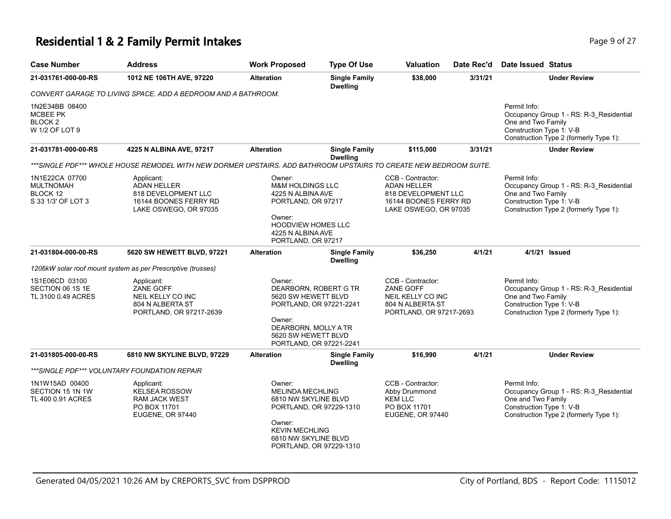### **Residential 1 & 2 Family Permit Intakes Page 1 and Security Page 9 of 27**

| <b>Case Number</b>                                                        | <b>Address</b>                                                                                                    | <b>Work Proposed</b>                                                                                                                                                  | <b>Type Of Use</b>                                 | Valuation                                                                                                        | Date Rec'd | Date Issued Status                                                                                                                                  |
|---------------------------------------------------------------------------|-------------------------------------------------------------------------------------------------------------------|-----------------------------------------------------------------------------------------------------------------------------------------------------------------------|----------------------------------------------------|------------------------------------------------------------------------------------------------------------------|------------|-----------------------------------------------------------------------------------------------------------------------------------------------------|
| 21-031761-000-00-RS                                                       | 1012 NE 106TH AVE, 97220                                                                                          | <b>Alteration</b>                                                                                                                                                     | <b>Single Family</b><br><b>Dwelling</b>            | \$38,000                                                                                                         | 3/31/21    | <b>Under Review</b>                                                                                                                                 |
|                                                                           | CONVERT GARAGE TO LIVING SPACE. ADD A BEDROOM AND A BATHROOM.                                                     |                                                                                                                                                                       |                                                    |                                                                                                                  |            |                                                                                                                                                     |
| 1N2E34BB 08400<br><b>MCBEE PK</b><br>BLOCK <sub>2</sub><br>W 1/2 OF LOT 9 |                                                                                                                   |                                                                                                                                                                       |                                                    |                                                                                                                  |            | Permit Info:<br>Occupancy Group 1 - RS: R-3_Residential<br>One and Two Family<br>Construction Type 1: V-B<br>Construction Type 2 (formerly Type 1): |
| 21-031781-000-00-RS                                                       | 4225 N ALBINA AVE, 97217                                                                                          | <b>Alteration</b>                                                                                                                                                     | <b>Single Family</b><br><b>Dwelling</b>            | \$115,000                                                                                                        | 3/31/21    | <b>Under Review</b>                                                                                                                                 |
|                                                                           | ***SINGLE PDF*** WHOLE HOUSE REMODEL WITH NEW DORMER UPSTAIRS. ADD BATHROOM UPSTAIRS TO CREATE NEW BEDROOM SUITE. |                                                                                                                                                                       |                                                    |                                                                                                                  |            |                                                                                                                                                     |
| 1N1E22CA 07700<br><b>MULTNOMAH</b><br>BLOCK 12<br>S 33 1/3' OF LOT 3      | Applicant:<br><b>ADAN HELLER</b><br>818 DEVELOPMENT LLC<br>16144 BOONES FERRY RD<br>LAKE OSWEGO, OR 97035         | Owner:<br><b>M&amp;M HOLDINGS LLC</b><br>4225 N ALBINA AVE<br>PORTLAND, OR 97217<br>Owner:<br><b>HOODVIEW HOMES LLC</b><br>4225 N ALBINA AVE<br>PORTLAND, OR 97217    |                                                    | CCB - Contractor:<br><b>ADAN HELLER</b><br>818 DEVELOPMENT LLC<br>16144 BOONES FERRY RD<br>LAKE OSWEGO, OR 97035 |            | Permit Info:<br>Occupancy Group 1 - RS: R-3_Residential<br>One and Two Family<br>Construction Type 1: V-B<br>Construction Type 2 (formerly Type 1): |
| 21-031804-000-00-RS                                                       | 5620 SW HEWETT BLVD, 97221                                                                                        | <b>Alteration</b>                                                                                                                                                     | <b>Single Family</b><br><b>Dwelling</b>            | \$36,250                                                                                                         | 4/1/21     | 4/1/21 Issued                                                                                                                                       |
|                                                                           | 1206kW solar roof mount system as per Prescriptive (trusses)                                                      |                                                                                                                                                                       |                                                    |                                                                                                                  |            |                                                                                                                                                     |
| 1S1E06CD 03100<br>SECTION 06 1S 1E<br>TL 3100 0.49 ACRES                  | Applicant:<br>ZANE GOFF<br>NEIL KELLY CO INC<br>804 N ALBERTA ST<br>PORTLAND, OR 97217-2639                       | Owner:<br>DEARBORN, ROBERT G TR<br>5620 SW HEWETT BLVD<br>PORTLAND, OR 97221-2241<br>Owner:<br>DEARBORN, MOLLY A TR<br>5620 SW HEWETT BLVD<br>PORTLAND, OR 97221-2241 |                                                    | CCB - Contractor:<br>ZANE GOFF<br>NEIL KELLY CO INC<br>804 N ALBERTA ST<br>PORTLAND, OR 97217-2693               |            | Permit Info:<br>Occupancy Group 1 - RS: R-3_Residential<br>One and Two Family<br>Construction Type 1: V-B<br>Construction Type 2 (formerly Type 1): |
| 21-031805-000-00-RS                                                       | 6810 NW SKYLINE BLVD, 97229                                                                                       | <b>Alteration</b>                                                                                                                                                     | <b>Single Family</b><br><b>Dwelling</b>            | \$16,990                                                                                                         | 4/1/21     | <b>Under Review</b>                                                                                                                                 |
|                                                                           | ***SINGLE PDF*** VOLUNTARY FOUNDATION REPAIR                                                                      |                                                                                                                                                                       |                                                    |                                                                                                                  |            |                                                                                                                                                     |
| 1N1W15AD 00400<br>SECTION 15 1N 1W<br>TL 400 0.91 ACRES                   | Applicant:<br><b>KELSEA ROSSOW</b><br><b>RAM JACK WEST</b><br>PO BOX 11701<br>EUGENE, OR 97440                    | Owner:<br><b>MELINDA MECHLING</b><br>6810 NW SKYLINE BLVD<br>Owner:<br><b>KEVIN MECHLING</b><br>6810 NW SKYLINE BLVD                                                  | PORTLAND, OR 97229-1310<br>PORTLAND, OR 97229-1310 | CCB - Contractor:<br>Abby Drummond<br><b>KEM LLC</b><br>PO BOX 11701<br>EUGENE, OR 97440                         |            | Permit Info:<br>Occupancy Group 1 - RS: R-3 Residential<br>One and Two Family<br>Construction Type 1: V-B<br>Construction Type 2 (formerly Type 1): |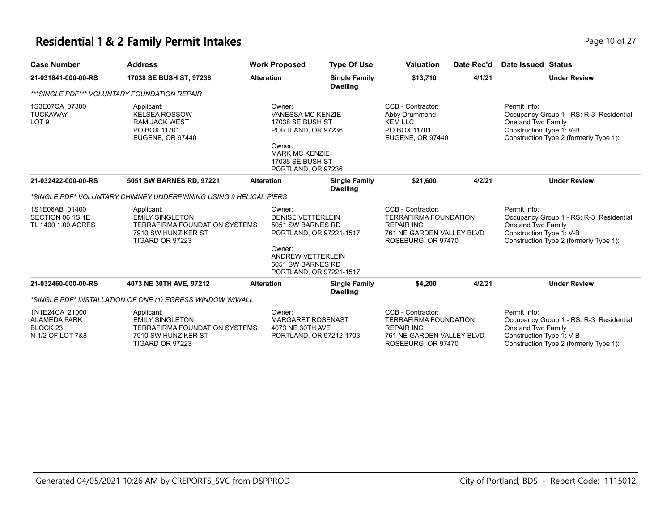### **Residential 1 & 2 Family Permit Intakes Page 10 of 27 Page 10 of 27**

| <b>Case Number</b>                                                               | <b>Address</b>                                                                                                         | <b>Work Proposed</b>                                   | <b>Type Of Use</b>                                                                                                                                                                                                                              | <b>Valuation</b>                                                                                                          | Date Rec'd                                                                      | Date Issued Status                                                                                                                                  |
|----------------------------------------------------------------------------------|------------------------------------------------------------------------------------------------------------------------|--------------------------------------------------------|-------------------------------------------------------------------------------------------------------------------------------------------------------------------------------------------------------------------------------------------------|---------------------------------------------------------------------------------------------------------------------------|---------------------------------------------------------------------------------|-----------------------------------------------------------------------------------------------------------------------------------------------------|
| 21-031841-000-00-RS                                                              | 17038 SE BUSH ST, 97236                                                                                                | <b>Alteration</b>                                      | <b>Single Family</b><br><b>Dwelling</b>                                                                                                                                                                                                         | \$13,710                                                                                                                  | 4/1/21                                                                          | <b>Under Review</b>                                                                                                                                 |
|                                                                                  | ***SINGLE PDF*** VOLUNTARY FOUNDATION REPAIR                                                                           |                                                        |                                                                                                                                                                                                                                                 |                                                                                                                           |                                                                                 |                                                                                                                                                     |
| 1S3E07CA 07300<br><b>TUCKAWAY</b><br>LOT <sub>9</sub>                            | Applicant:<br><b>KELSEA ROSSOW</b><br><b>RAM JACK WEST</b><br>PO BOX 11701<br>EUGENE, OR 97440                         | Owner:<br>Owner:                                       | CCB - Contractor:<br><b>VANESSA MC KENZIE</b><br>Abby Drummond<br><b>17038 SE BUSH ST</b><br><b>KEM LLC</b><br>PO BOX 11701<br>PORTLAND, OR 97236<br>EUGENE, OR 97440<br><b>MARK MC KENZIE</b><br><b>17038 SE BUSH ST</b><br>PORTLAND, OR 97236 |                                                                                                                           |                                                                                 | Permit Info:<br>Occupancy Group 1 - RS: R-3 Residential<br>One and Two Family<br>Construction Type 1: V-B<br>Construction Type 2 (formerly Type 1): |
| 21-032422-000-00-RS                                                              | 5051 SW BARNES RD, 97221                                                                                               | <b>Alteration</b>                                      | <b>Single Family</b><br><b>Dwelling</b>                                                                                                                                                                                                         | \$21,600                                                                                                                  | 4/2/21                                                                          | <b>Under Review</b>                                                                                                                                 |
|                                                                                  | *SINGLE PDF* VOLUNTARY CHIMNEY UNDERPINNING USING 9 HELICAL PIERS                                                      |                                                        |                                                                                                                                                                                                                                                 |                                                                                                                           |                                                                                 |                                                                                                                                                     |
| 1S1E06AB 01400<br>SECTION 06 1S 1E<br>TL 1400 1.00 ACRES                         | Applicant:<br><b>EMILY SINGLETON</b><br><b>TERRAFIRMA FOUNDATION SYSTEMS</b><br>7910 SW HUNZIKER ST<br>TIGARD OR 97223 | Owner:<br>Owner:                                       | <b>DENISE VETTERLEIN</b><br>5051 SW BARNES RD<br>PORTLAND, OR 97221-1517<br><b>ANDREW VETTERLEIN</b><br>5051 SW BARNES RD<br>PORTLAND, OR 97221-1517                                                                                            |                                                                                                                           | <b>TERRAFIRMA FOUNDATION</b><br>761 NE GARDEN VALLEY BLVD<br>ROSEBURG, OR 97470 | Permit Info:<br>Occupancy Group 1 - RS: R-3_Residential<br>One and Two Family<br>Construction Type 1: V-B<br>Construction Type 2 (formerly Type 1): |
| 21-032460-000-00-RS                                                              | 4073 NE 30TH AVE, 97212                                                                                                | <b>Alteration</b>                                      | <b>Single Family</b><br><b>Dwelling</b>                                                                                                                                                                                                         | \$4,200                                                                                                                   | 4/2/21                                                                          | <b>Under Review</b>                                                                                                                                 |
|                                                                                  | *SINGLE PDF* INSTALLATION OF ONE (1) EGRESS WINDOW W/WALL                                                              |                                                        |                                                                                                                                                                                                                                                 |                                                                                                                           |                                                                                 |                                                                                                                                                     |
| 1N1E24CA 21000<br><b>ALAMEDA PARK</b><br>BLOCK <sub>23</sub><br>N 1/2 OF LOT 7&8 | Applicant:<br><b>EMILY SINGLETON</b><br><b>TERRAFIRMA FOUNDATION SYSTEMS</b><br>7910 SW HUNZIKER ST<br>TIGARD OR 97223 | Owner:<br><b>MARGARET ROSENAST</b><br>4073 NE 30TH AVE | PORTLAND, OR 97212-1703                                                                                                                                                                                                                         | CCB - Contractor:<br><b>TERRAFIRMA FOUNDATION</b><br><b>REPAIR INC</b><br>761 NE GARDEN VALLEY BLVD<br>ROSEBURG, OR 97470 |                                                                                 | Permit Info:<br>Occupancy Group 1 - RS: R-3 Residential<br>One and Two Family<br>Construction Type 1: V-B<br>Construction Type 2 (formerly Type 1): |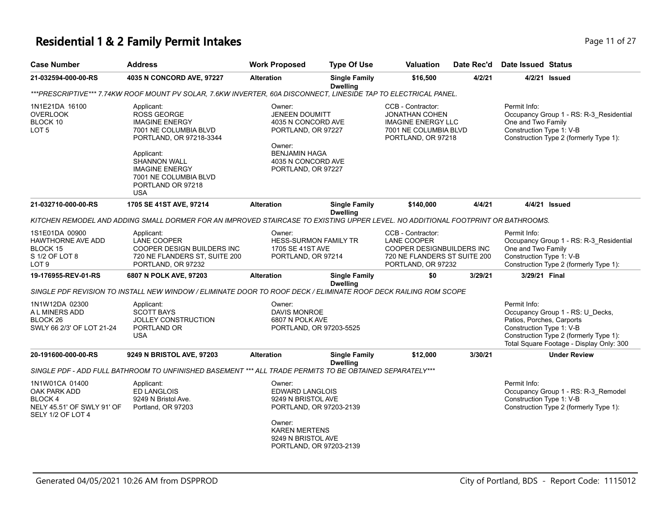# **Residential 1 & 2 Family Permit Intakes Page 11 of 27 Page 11 of 27**

| Case Number                                                                                  | <b>Address</b>                                                                                                                                                                                                                          | <b>Work Proposed</b>                                                                                                                                          | <b>Type Of Use</b>                      | <b>Valuation</b>                                                                                                                  | Date Rec'd | Date Issued Status                                                    |                                                                                                                        |
|----------------------------------------------------------------------------------------------|-----------------------------------------------------------------------------------------------------------------------------------------------------------------------------------------------------------------------------------------|---------------------------------------------------------------------------------------------------------------------------------------------------------------|-----------------------------------------|-----------------------------------------------------------------------------------------------------------------------------------|------------|-----------------------------------------------------------------------|------------------------------------------------------------------------------------------------------------------------|
| 21-032594-000-00-RS                                                                          | 4035 N CONCORD AVE, 97227                                                                                                                                                                                                               | <b>Alteration</b>                                                                                                                                             | <b>Single Family</b><br><b>Dwelling</b> | \$16,500                                                                                                                          | 4/2/21     |                                                                       | 4/2/21 Issued                                                                                                          |
|                                                                                              | ***PRESCRIPTIVE*** 7.74KW ROOF MOUNT PV SOLAR, 7.6KW INVERTER, 60A DISCONNECT, LINESIDE TAP TO ELECTRICAL PANEL.                                                                                                                        |                                                                                                                                                               |                                         |                                                                                                                                   |            |                                                                       |                                                                                                                        |
| 1N1E21DA 16100<br>OVERLOOK<br>BLOCK 10<br>LOT 5                                              | Applicant:<br><b>ROSS GEORGE</b><br><b>IMAGINE ENERGY</b><br>7001 NE COLUMBIA BLVD<br>PORTLAND, OR 97218-3344<br>Applicant:<br><b>SHANNON WALL</b><br><b>IMAGINE ENERGY</b><br>7001 NE COLUMBIA BLVD<br>PORTLAND OR 97218<br><b>USA</b> | Owner:<br><b>JENEEN DOUMITT</b><br>4035 N CONCORD AVE<br>PORTLAND, OR 97227<br>Owner:<br><b>BENJAMIN HAGA</b><br>4035 N CONCORD AVE<br>PORTLAND, OR 97227     |                                         | CCB - Contractor:<br><b>JONATHAN COHEN</b><br><b>IMAGINE ENERGY LLC</b><br>7001 NE COLUMBIA BLVD<br>PORTLAND, OR 97218            |            | Permit Info:<br>One and Two Family<br>Construction Type 1: V-B        | Occupancy Group 1 - RS: R-3_Residential<br>Construction Type 2 (formerly Type 1):                                      |
| 21-032710-000-00-RS                                                                          | 1705 SE 41ST AVE, 97214                                                                                                                                                                                                                 | <b>Alteration</b>                                                                                                                                             | <b>Single Family</b><br><b>Dwelling</b> | \$140,000                                                                                                                         | 4/4/21     |                                                                       | 4/4/21 Issued                                                                                                          |
|                                                                                              | KITCHEN REMODEL AND ADDING SMALL DORMER FOR AN IMPROVED STAIRCASE TO EXISTING UPPER LEVEL. NO ADDITIONAL FOOTPRINT OR BATHROOMS.                                                                                                        |                                                                                                                                                               |                                         |                                                                                                                                   |            |                                                                       |                                                                                                                        |
| 1S1E01DA 00900<br>HAWTHORNE AVE ADD<br>BLOCK 15<br>S 1/2 OF LOT 8<br>LOT <sub>9</sub>        | Applicant:<br><b>LANE COOPER</b><br>COOPER DESIGN BUILDERS INC<br>720 NE FLANDERS ST, SUITE 200<br>PORTLAND, OR 97232                                                                                                                   | Owner:<br><b>HESS-SURMON FAMILY TR</b><br>1705 SE 41ST AVE<br>PORTLAND, OR 97214                                                                              |                                         | CCB - Contractor:<br><b>LANE COOPER</b><br><b>COOPER DESIGNBUILDERS INC</b><br>720 NE FLANDERS ST SUITE 200<br>PORTLAND, OR 97232 |            | Permit Info:<br>One and Two Family<br>Construction Type 1: V-B        | Occupancy Group 1 - RS: R-3_Residential<br>Construction Type 2 (formerly Type 1):                                      |
| 19-176955-REV-01-RS                                                                          | 6807 N POLK AVE, 97203                                                                                                                                                                                                                  | <b>Alteration</b>                                                                                                                                             | <b>Single Family</b><br><b>Dwelling</b> | \$0                                                                                                                               | 3/29/21    | 3/29/21 Final                                                         |                                                                                                                        |
|                                                                                              | SINGLE PDF REVISION TO INSTALL NEW WINDOW / ELIMINATE DOOR TO ROOF DECK / ELIMINATE ROOF DECK RAILING ROM SCOPE                                                                                                                         |                                                                                                                                                               |                                         |                                                                                                                                   |            |                                                                       |                                                                                                                        |
| 1N1W12DA 02300<br>A L MINERS ADD<br>BLOCK <sub>26</sub><br>SWLY 66 2/3' OF LOT 21-24         | Applicant:<br><b>SCOTT BAYS</b><br>JOLLEY CONSTRUCTION<br>PORTLAND OR<br><b>USA</b>                                                                                                                                                     | Owner:<br><b>DAVIS MONROE</b><br>6807 N POLK AVE<br>PORTLAND, OR 97203-5525                                                                                   |                                         |                                                                                                                                   |            | Permit Info:<br>Patios, Porches, Carports<br>Construction Type 1: V-B | Occupancy Group 1 - RS: U_Decks,<br>Construction Type 2 (formerly Type 1):<br>Total Square Footage - Display Only: 300 |
| 20-191600-000-00-RS                                                                          | 9249 N BRISTOL AVE, 97203                                                                                                                                                                                                               | <b>Alteration</b>                                                                                                                                             | <b>Single Family</b><br><b>Dwelling</b> | \$12,000                                                                                                                          | 3/30/21    |                                                                       | <b>Under Review</b>                                                                                                    |
|                                                                                              | SINGLE PDF - ADD FULL BATHROOM TO UNFINISHED BASEMENT *** ALL TRADE PERMITS TO BE OBTAINED SEPARATELY***                                                                                                                                |                                                                                                                                                               |                                         |                                                                                                                                   |            |                                                                       |                                                                                                                        |
| 1N1W01CA 01400<br>OAK PARK ADD<br>BLOCK 4<br>NELY 45.51' OF SWLY 91' OF<br>SELY 1/2 OF LOT 4 | Applicant:<br>ED LANGLOIS<br>9249 N Bristol Ave.<br>Portland, OR 97203                                                                                                                                                                  | Owner:<br>EDWARD LANGLOIS<br>9249 N BRISTOL AVE<br>PORTLAND, OR 97203-2139<br>Owner:<br><b>KAREN MERTENS</b><br>9249 N BRISTOL AVE<br>PORTLAND, OR 97203-2139 |                                         |                                                                                                                                   |            | Permit Info:<br>Construction Type 1: V-B                              | Occupancy Group 1 - RS: R-3_Remodel<br>Construction Type 2 (formerly Type 1):                                          |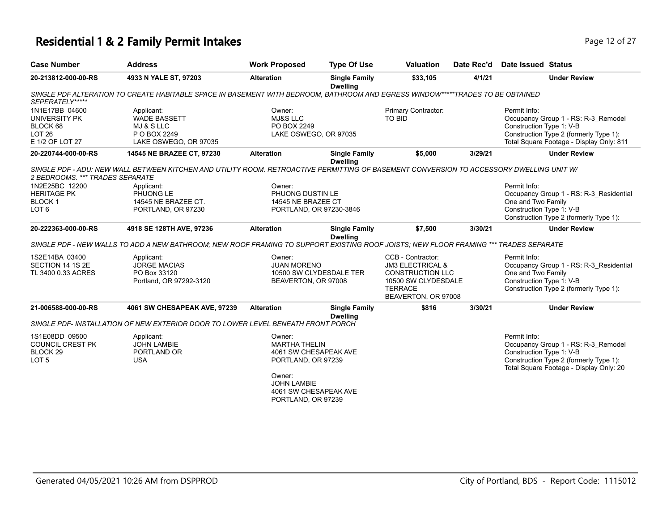# **Residential 1 & 2 Family Permit Intakes Page 12 of 27 Page 12 of 27**

|                                                                                          |                                              |                                         |                                                                                                                                                                                                                                                                                                                                                                                                                                       |         | <b>Date Issued Status</b>                                                                                                                                                                                                                                                                                                                                                                                                                                                             |
|------------------------------------------------------------------------------------------|----------------------------------------------|-----------------------------------------|---------------------------------------------------------------------------------------------------------------------------------------------------------------------------------------------------------------------------------------------------------------------------------------------------------------------------------------------------------------------------------------------------------------------------------------|---------|---------------------------------------------------------------------------------------------------------------------------------------------------------------------------------------------------------------------------------------------------------------------------------------------------------------------------------------------------------------------------------------------------------------------------------------------------------------------------------------|
| 4933 N YALE ST, 97203                                                                    | <b>Alteration</b>                            | <b>Single Family</b>                    | \$33,105                                                                                                                                                                                                                                                                                                                                                                                                                              | 4/1/21  | <b>Under Review</b>                                                                                                                                                                                                                                                                                                                                                                                                                                                                   |
|                                                                                          |                                              |                                         |                                                                                                                                                                                                                                                                                                                                                                                                                                       |         |                                                                                                                                                                                                                                                                                                                                                                                                                                                                                       |
| Applicant:<br><b>WADE BASSETT</b><br>MJ & S LLC<br>P O BOX 2249<br>LAKE OSWEGO, OR 97035 | Owner:<br><b>MJ&amp;S LLC</b><br>PO BOX 2249 |                                         | Primary Contractor:<br><b>TO BID</b>                                                                                                                                                                                                                                                                                                                                                                                                  |         | Permit Info:<br>Occupancy Group 1 - RS: R-3_Remodel<br>Construction Type 1: V-B<br>Construction Type 2 (formerly Type 1):<br>Total Square Footage - Display Only: 811                                                                                                                                                                                                                                                                                                                 |
| 14545 NE BRAZEE CT, 97230                                                                | <b>Alteration</b>                            | <b>Single Family</b>                    | \$5,000                                                                                                                                                                                                                                                                                                                                                                                                                               | 3/29/21 | <b>Under Review</b>                                                                                                                                                                                                                                                                                                                                                                                                                                                                   |
| 2 BEDROOMS. *** TRADES SEPARATE                                                          |                                              |                                         |                                                                                                                                                                                                                                                                                                                                                                                                                                       |         |                                                                                                                                                                                                                                                                                                                                                                                                                                                                                       |
| Applicant:<br>PHUONG LE<br>14545 NE BRAZEE CT.<br>PORTLAND, OR 97230                     | Owner:                                       |                                         |                                                                                                                                                                                                                                                                                                                                                                                                                                       |         | Permit Info:<br>Occupancy Group 1 - RS: R-3 Residential<br>One and Two Family<br>Construction Type 1: V-B<br>Construction Type 2 (formerly Type 1):                                                                                                                                                                                                                                                                                                                                   |
| 4918 SE 128TH AVE, 97236                                                                 | <b>Alteration</b>                            | <b>Single Family</b><br><b>Dwelling</b> | \$7.500                                                                                                                                                                                                                                                                                                                                                                                                                               | 3/30/21 | <b>Under Review</b>                                                                                                                                                                                                                                                                                                                                                                                                                                                                   |
|                                                                                          |                                              |                                         |                                                                                                                                                                                                                                                                                                                                                                                                                                       |         |                                                                                                                                                                                                                                                                                                                                                                                                                                                                                       |
| Applicant:<br><b>JORGE MACIAS</b><br>PO Box 33120<br>Portland, OR 97292-3120             | Owner:                                       |                                         | CCB - Contractor:<br><b>JM3 ELECTRICAL &amp;</b><br><b>TERRACE</b>                                                                                                                                                                                                                                                                                                                                                                    |         | Permit Info:<br>Occupancy Group 1 - RS: R-3_Residential<br>One and Two Family<br>Construction Type 1: V-B<br>Construction Type 2 (formerly Type 1):                                                                                                                                                                                                                                                                                                                                   |
| 4061 SW CHESAPEAK AVE, 97239                                                             | <b>Alteration</b>                            | <b>Single Family</b>                    | \$816                                                                                                                                                                                                                                                                                                                                                                                                                                 | 3/30/21 | <b>Under Review</b>                                                                                                                                                                                                                                                                                                                                                                                                                                                                   |
|                                                                                          |                                              |                                         |                                                                                                                                                                                                                                                                                                                                                                                                                                       |         |                                                                                                                                                                                                                                                                                                                                                                                                                                                                                       |
| Applicant:<br><b>JOHN LAMBIE</b><br>PORTLAND OR<br><b>USA</b>                            | Owner:<br>Owner:<br><b>JOHN LAMBIE</b>       |                                         |                                                                                                                                                                                                                                                                                                                                                                                                                                       |         | Permit Info:<br>Occupancy Group 1 - RS: R-3_Remodel<br>Construction Type 1: V-B<br>Construction Type 2 (formerly Type 1):<br>Total Square Footage - Display Only: 20                                                                                                                                                                                                                                                                                                                  |
|                                                                                          |                                              |                                         | <b>Dwelling</b><br>LAKE OSWEGO, OR 97035<br><b>Dwelling</b><br>PHUONG DUSTIN LE<br>14545 NE BRAZEE CT<br>PORTLAND, OR 97230-3846<br><b>JUAN MORENO</b><br>10500 SW CLYDESDALE TER<br>BEAVERTON, OR 97008<br><b>Dwelling</b><br>SINGLE PDF- INSTALLATION OF NEW EXTERIOR DOOR TO LOWER LEVEL BENEATH FRONT PORCH<br><b>MARTHA THELIN</b><br>4061 SW CHESAPEAK AVE<br>PORTLAND, OR 97239<br>4061 SW CHESAPEAK AVE<br>PORTLAND, OR 97239 |         | SINGLE PDF ALTERATION TO CREATE HABITABLE SPACE IN BASEMENT WITH BEDROOM, BATHROOM AND EGRESS WINDOW*****TRADES TO BE OBTAINED<br>SINGLE PDF - ADU: NEW WALL BETWEEN KITCHEN AND UTILITY ROOM. RETROACTIVE PERMITTING OF BASEMENT CONVERSION TO ACCESSORY DWELLING UNIT W/<br>SINGLE PDF - NEW WALLS TO ADD A NEW BATHROOM: NEW ROOF FRAMING TO SUPPORT EXISTING ROOF JOISTS: NEW FLOOR FRAMING *** TRADES SEPARATE<br>CONSTRUCTION LLC<br>10500 SW CLYDESDALE<br>BEAVERTON, OR 97008 |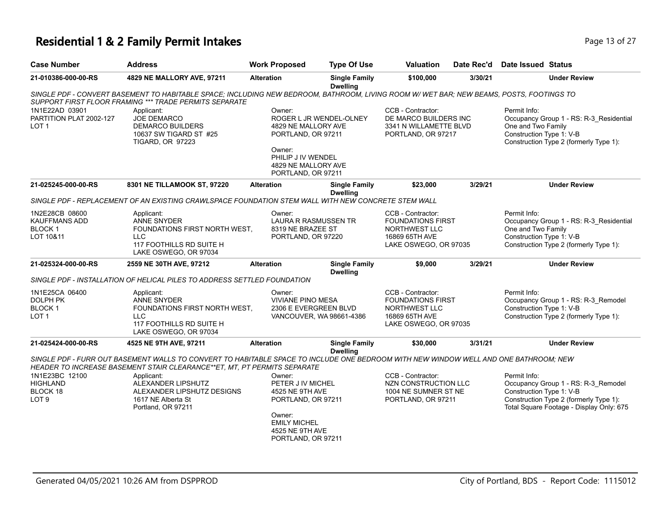# **Residential 1 & 2 Family Permit Intakes Page 13 of 27 Page 13 of 27**

| <b>Case Number</b>                                                | <b>Address</b>                                                                                                                                                                                                   | <b>Work Proposed</b>                                                                                                                           | <b>Type Of Use</b>                      | <b>Valuation</b>                                                                                                 | Date Rec'd | <b>Date Issued Status</b>                                                                                                                                             |
|-------------------------------------------------------------------|------------------------------------------------------------------------------------------------------------------------------------------------------------------------------------------------------------------|------------------------------------------------------------------------------------------------------------------------------------------------|-----------------------------------------|------------------------------------------------------------------------------------------------------------------|------------|-----------------------------------------------------------------------------------------------------------------------------------------------------------------------|
| 21-010386-000-00-RS                                               | 4829 NE MALLORY AVE, 97211                                                                                                                                                                                       | <b>Alteration</b>                                                                                                                              | <b>Single Family</b><br><b>Dwelling</b> | \$100,000                                                                                                        | 3/30/21    | <b>Under Review</b>                                                                                                                                                   |
|                                                                   | SINGLE PDF - CONVERT BASEMENT TO HABITABLE SPACE; INCLUDING NEW BEDROOM, BATHROOM, LIVING ROOM W/ WET BAR; NEW BEAMS, POSTS, FOOTINGS TO<br>SUPPORT FIRST FLOOR FRAMING *** TRADE PERMITS SEPARATE               |                                                                                                                                                |                                         |                                                                                                                  |            |                                                                                                                                                                       |
| 1N1E22AD 03901<br>PARTITION PLAT 2002-127<br>LOT <sub>1</sub>     | Applicant:<br><b>JOE DEMARCO</b><br><b>DEMARCO BUILDERS</b><br>10637 SW TIGARD ST #25<br><b>TIGARD, OR 97223</b>                                                                                                 | Owner:<br>4829 NE MALLORY AVE<br>PORTLAND, OR 97211<br>Owner:<br>PHILIP J IV WENDEL<br>4829 NE MALLORY AVE<br>PORTLAND, OR 97211               | ROGER L JR WENDEL-OLNEY                 | CCB - Contractor:<br>DE MARCO BUILDERS INC<br>3341 N WILLAMETTE BLVD<br>PORTLAND, OR 97217                       |            | Permit Info:<br>Occupancy Group 1 - RS: R-3 Residential<br>One and Two Family<br>Construction Type 1: V-B<br>Construction Type 2 (formerly Type 1):                   |
| 21-025245-000-00-RS                                               | 8301 NE TILLAMOOK ST, 97220                                                                                                                                                                                      | <b>Alteration</b>                                                                                                                              | <b>Single Family</b><br><b>Dwelling</b> | \$23,000                                                                                                         | 3/29/21    | <b>Under Review</b>                                                                                                                                                   |
|                                                                   | SINGLE PDF - REPLACEMENT OF AN EXISTING CRAWLSPACE FOUNDATION STEM WALL WITH NEW CONCRETE STEM WALL                                                                                                              |                                                                                                                                                |                                         |                                                                                                                  |            |                                                                                                                                                                       |
| 1N2E28CB 08600<br>KAUFFMANS ADD<br>BLOCK 1<br>LOT 10&11           | Applicant:<br><b>ANNE SNYDER</b><br>FOUNDATIONS FIRST NORTH WEST.<br><b>LLC</b><br>117 FOOTHILLS RD SUITE H<br>LAKE OSWEGO, OR 97034                                                                             | Owner:<br>LAURA R RASMUSSEN TR<br>8319 NE BRAZEE ST<br>PORTLAND, OR 97220                                                                      |                                         | CCB - Contractor:<br><b>FOUNDATIONS FIRST</b><br>NORTHWEST LLC<br>16869 65TH AVE<br>LAKE OSWEGO, OR 97035        |            | Permit Info:<br>Occupancy Group 1 - RS: R-3_Residential<br>One and Two Family<br>Construction Type 1: V-B<br>Construction Type 2 (formerly Type 1):                   |
| 21-025324-000-00-RS                                               | 2559 NE 30TH AVE, 97212                                                                                                                                                                                          | <b>Alteration</b>                                                                                                                              | <b>Single Family</b><br><b>Dwelling</b> | \$9,000                                                                                                          | 3/29/21    | <b>Under Review</b>                                                                                                                                                   |
|                                                                   | SINGLE PDF - INSTALLATION OF HELICAL PILES TO ADDRESS SETTLED FOUNDATION                                                                                                                                         |                                                                                                                                                |                                         |                                                                                                                  |            |                                                                                                                                                                       |
| 1N1E25CA 06400<br>DOLPH PK<br><b>BLOCK1</b><br>LOT <sub>1</sub>   | Applicant:<br><b>ANNE SNYDER</b><br>FOUNDATIONS FIRST NORTH WEST.<br><b>LLC</b><br>117 FOOTHILLS RD SUITE H<br>LAKE OSWEGO, OR 97034                                                                             | Owner:<br><b>VIVIANE PINO MESA</b><br>2306 E EVERGREEN BLVD                                                                                    | VANCOUVER, WA 98661-4386                | CCB - Contractor:<br><b>FOUNDATIONS FIRST</b><br><b>NORTHWEST LLC</b><br>16869 65TH AVE<br>LAKE OSWEGO, OR 97035 |            | Permit Info:<br>Occupancy Group 1 - RS: R-3_Remodel<br>Construction Type 1: V-B<br>Construction Type 2 (formerly Type 1):                                             |
| 21-025424-000-00-RS                                               | 4525 NE 9TH AVE, 97211                                                                                                                                                                                           | <b>Alteration</b>                                                                                                                              | <b>Single Family</b><br><b>Dwelling</b> | \$30,000                                                                                                         | 3/31/21    | <b>Under Review</b>                                                                                                                                                   |
|                                                                   | SINGLE PDF - FURR OUT BASEMENT WALLS TO CONVERT TO HABITABLE SPACE TO INCLUDE ONE BEDROOM WITH NEW WINDOW WELL AND ONE BATHROOM; NEW<br>HEADER TO INCREASE BASEMENT STAIR CLEARANCE**ET, MT, PT PERMITS SEPARATE |                                                                                                                                                |                                         |                                                                                                                  |            |                                                                                                                                                                       |
| 1N1E23BC 12100<br><b>HIGHLAND</b><br>BLOCK 18<br>LOT <sub>9</sub> | Applicant:<br>ALEXANDER LIPSHUTZ<br>ALEXANDER LIPSHUTZ DESIGNS<br>1617 NE Alberta St<br>Portland, OR 97211                                                                                                       | Owner:<br>PETER J IV MICHEL<br>4525 NE 9TH AVE<br>PORTLAND, OR 97211<br>Owner:<br><b>EMILY MICHEL</b><br>4525 NE 9TH AVE<br>PORTLAND, OR 97211 |                                         | CCB - Contractor:<br>NZN CONSTRUCTION LLC<br>1004 NE SUMNER ST NE<br>PORTLAND, OR 97211                          |            | Permit Info:<br>Occupancy Group 1 - RS: R-3_Remodel<br>Construction Type 1: V-B<br>Construction Type 2 (formerly Type 1):<br>Total Square Footage - Display Only: 675 |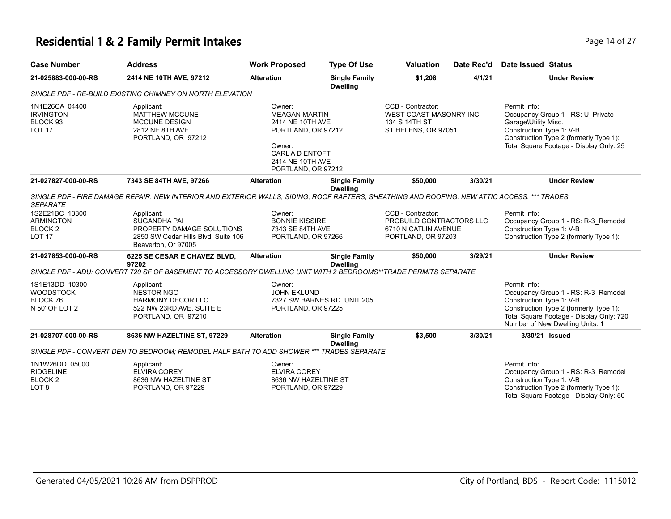## **Residential 1 & 2 Family Permit Intakes Page 14 of 27 Page 14 of 27**

| <b>Case Number</b>                                                           | <b>Address</b>                                                                                                                              | <b>Work Proposed</b>                                                                                                                            | <b>Type Of Use</b>                      | <b>Valuation</b>                                                                            | Date Rec'd | Date Issued Status                                               |                                                                                                                                                              |
|------------------------------------------------------------------------------|---------------------------------------------------------------------------------------------------------------------------------------------|-------------------------------------------------------------------------------------------------------------------------------------------------|-----------------------------------------|---------------------------------------------------------------------------------------------|------------|------------------------------------------------------------------|--------------------------------------------------------------------------------------------------------------------------------------------------------------|
| 21-025883-000-00-RS                                                          | 2414 NE 10TH AVE, 97212                                                                                                                     | <b>Alteration</b>                                                                                                                               | <b>Single Family</b><br><b>Dwelling</b> | \$1,208                                                                                     | 4/1/21     |                                                                  | <b>Under Review</b>                                                                                                                                          |
|                                                                              | SINGLE PDF - RE-BUILD EXISTING CHIMNEY ON NORTH ELEVATION                                                                                   |                                                                                                                                                 |                                         |                                                                                             |            |                                                                  |                                                                                                                                                              |
| 1N1E26CA 04400<br><b>IRVINGTON</b><br>BLOCK 93<br><b>LOT 17</b>              | Applicant:<br><b>MATTHEW MCCUNE</b><br><b>MCCUNE DESIGN</b><br>2812 NE 8TH AVE<br>PORTLAND, OR 97212                                        | Owner:<br><b>MEAGAN MARTIN</b><br>2414 NE 10TH AVE<br>PORTLAND, OR 97212<br>Owner:<br>CARL A D ENTOFT<br>2414 NE 10TH AVE<br>PORTLAND, OR 97212 |                                         | CCB - Contractor:<br>WEST COAST MASONRY INC<br>134 S 14TH ST<br>ST HELENS, OR 97051         |            | Permit Info:<br>Garage\Utility Misc.<br>Construction Type 1: V-B | Occupancy Group 1 - RS: U Private<br>Construction Type 2 (formerly Type 1):<br>Total Square Footage - Display Only: 25                                       |
| 21-027827-000-00-RS                                                          | 7343 SE 84TH AVE, 97266                                                                                                                     | <b>Alteration</b>                                                                                                                               | <b>Single Family</b><br><b>Dwelling</b> | \$50,000                                                                                    | 3/30/21    |                                                                  | <b>Under Review</b>                                                                                                                                          |
| <b>SEPARATE</b>                                                              | SINGLE PDF - FIRE DAMAGE REPAIR. NEW INTERIOR AND EXTERIOR WALLS, SIDING, ROOF RAFTERS, SHEATHING AND ROOFING. NEW ATTIC ACCESS. *** TRADES |                                                                                                                                                 |                                         |                                                                                             |            |                                                                  |                                                                                                                                                              |
| 1S2E21BC 13800<br><b>ARMINGTON</b><br>BLOCK <sub>2</sub><br><b>LOT 17</b>    | Applicant:<br><b>SUGANDHA PAI</b><br>PROPERTY DAMAGE SOLUTIONS<br>2850 SW Cedar Hills Blvd, Suite 106<br>Beaverton, Or 97005                | Owner:<br><b>BONNIE KISSIRE</b><br>7343 SE 84TH AVE<br>PORTLAND, OR 97266                                                                       |                                         | CCB - Contractor:<br>PROBUILD CONTRACTORS LLC<br>6710 N CATLIN AVENUE<br>PORTLAND, OR 97203 |            | Permit Info:<br>Construction Type 1: V-B                         | Occupancy Group 1 - RS: R-3_Remodel<br>Construction Type 2 (formerly Type 1):                                                                                |
| 21-027853-000-00-RS                                                          | 6225 SE CESAR E CHAVEZ BLVD,<br>97202                                                                                                       | <b>Alteration</b>                                                                                                                               | <b>Single Family</b><br><b>Dwelling</b> | \$50,000                                                                                    | 3/29/21    |                                                                  | <b>Under Review</b>                                                                                                                                          |
|                                                                              | SINGLE PDF - ADU: CONVERT 720 SF OF BASEMENT TO ACCESSORY DWELLING UNIT WITH 2 BEDROOMS**TRADE PERMITS SEPARATE                             |                                                                                                                                                 |                                         |                                                                                             |            |                                                                  |                                                                                                                                                              |
| 1S1E13DD 10300<br><b>WOODSTOCK</b><br><b>BLOCK 76</b><br>N 50' OF LOT 2      | Applicant:<br><b>NESTOR NGO</b><br><b>HARMONY DECOR LLC</b><br>522 NW 23RD AVE, SUITE E<br>PORTLAND, OR 97210                               | Owner:<br><b>JOHN EKLUND</b><br>PORTLAND, OR 97225                                                                                              | 7327 SW BARNES RD UNIT 205              |                                                                                             |            | Permit Info:<br>Construction Type 1: V-B                         | Occupancy Group 1 - RS: R-3_Remodel<br>Construction Type 2 (formerly Type 1):<br>Total Square Footage - Display Only: 720<br>Number of New Dwelling Units: 1 |
| 21-028707-000-00-RS                                                          | 8636 NW HAZELTINE ST, 97229                                                                                                                 | <b>Alteration</b>                                                                                                                               | <b>Single Family</b><br><b>Dwelling</b> | \$3,500                                                                                     | 3/30/21    | 3/30/21 Issued                                                   |                                                                                                                                                              |
|                                                                              | SINGLE PDF - CONVERT DEN TO BEDROOM; REMODEL HALF BATH TO ADD SHOWER *** TRADES SEPARATE                                                    |                                                                                                                                                 |                                         |                                                                                             |            |                                                                  |                                                                                                                                                              |
| 1N1W26DD 05000<br><b>RIDGELINE</b><br>BLOCK <sub>2</sub><br>LOT <sub>8</sub> | Applicant:<br><b>ELVIRA COREY</b><br>8636 NW HAZELTINE ST<br>PORTLAND, OR 97229                                                             | Owner:<br><b>ELVIRA COREY</b><br>8636 NW HAZELTINE ST<br>PORTLAND, OR 97229                                                                     |                                         |                                                                                             |            | Permit Info:<br>Construction Type 1: V-B                         | Occupancy Group 1 - RS: R-3_Remodel<br>Construction Type 2 (formerly Type 1):<br>Total Square Footage - Display Only: 50                                     |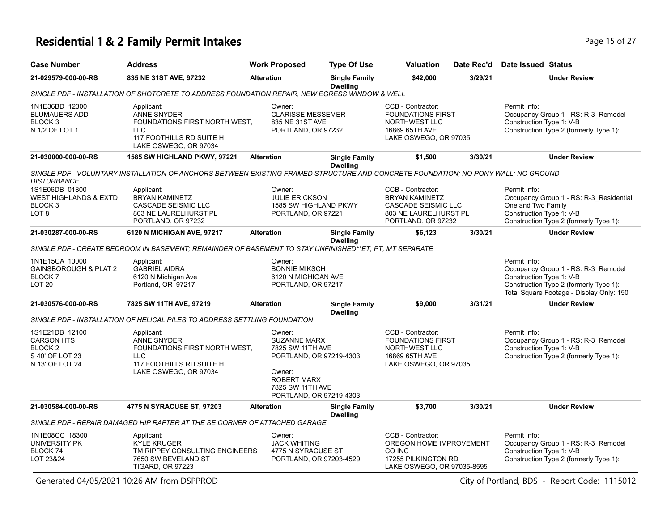# **Residential 1 & 2 Family Permit Intakes Page 15 of 27 Page 15 of 27**

| <b>Case Number</b>                                                                              | <b>Address</b>                                                                                                                       | <b>Work Proposed</b>                                                                                                                                        | <b>Type Of Use</b>                      | <b>Valuation</b>                                                                                                        | Date Rec'd | Date Issued Status                                                                                                                                                    |
|-------------------------------------------------------------------------------------------------|--------------------------------------------------------------------------------------------------------------------------------------|-------------------------------------------------------------------------------------------------------------------------------------------------------------|-----------------------------------------|-------------------------------------------------------------------------------------------------------------------------|------------|-----------------------------------------------------------------------------------------------------------------------------------------------------------------------|
| 21-029579-000-00-RS                                                                             | 835 NE 31ST AVE, 97232                                                                                                               | <b>Alteration</b>                                                                                                                                           | <b>Single Family</b><br><b>Dwelling</b> | \$42,000                                                                                                                | 3/29/21    | <b>Under Review</b>                                                                                                                                                   |
|                                                                                                 | SINGLE PDF - INSTALLATION OF SHOTCRETE TO ADDRESS FOUNDATION REPAIR, NEW EGRESS WINDOW & WELL                                        |                                                                                                                                                             |                                         |                                                                                                                         |            |                                                                                                                                                                       |
| 1N1E36BD 12300<br><b>BLUMAUERS ADD</b><br>BLOCK <sub>3</sub><br>N 1/2 OF LOT 1                  | Applicant:<br><b>ANNE SNYDER</b><br>FOUNDATIONS FIRST NORTH WEST,<br><b>LLC</b><br>117 FOOTHILLS RD SUITE H<br>LAKE OSWEGO, OR 97034 | Owner:<br><b>CLARISSE MESSEMER</b><br>835 NE 31ST AVE<br>PORTLAND, OR 97232                                                                                 |                                         | CCB - Contractor:<br><b>FOUNDATIONS FIRST</b><br>NORTHWEST LLC<br>16869 65TH AVE<br>LAKE OSWEGO, OR 97035               |            | Permit Info:<br>Occupancy Group 1 - RS: R-3 Remodel<br>Construction Type 1: V-B<br>Construction Type 2 (formerly Type 1):                                             |
| 21-030000-000-00-RS                                                                             | 1585 SW HIGHLAND PKWY, 97221                                                                                                         | <b>Alteration</b>                                                                                                                                           | <b>Single Family</b><br><b>Dwelling</b> | \$1,500                                                                                                                 | 3/30/21    | <b>Under Review</b>                                                                                                                                                   |
| <b>DISTURBANCE</b>                                                                              | SINGLE PDF - VOLUNTARY INSTALLATION OF ANCHORS BETWEEN EXISTING FRAMED STRUCTURE AND CONCRETE FOUNDATION; NO PONY WALL; NO GROUND    |                                                                                                                                                             |                                         |                                                                                                                         |            |                                                                                                                                                                       |
| 1S1E06DB 01800<br><b>WEST HIGHLANDS &amp; EXTD</b><br>BLOCK 3<br>LOT <sub>8</sub>               | Applicant:<br><b>BRYAN KAMINETZ</b><br><b>CASCADE SEISMIC LLC</b><br>803 NE LAURELHURST PL<br>PORTLAND, OR 97232                     | Owner:<br><b>JULIE ERICKSON</b><br>1585 SW HIGHLAND PKWY<br>PORTLAND, OR 97221                                                                              |                                         | CCB - Contractor:<br><b>BRYAN KAMINETZ</b><br><b>CASCADE SEISMIC LLC</b><br>803 NE LAURELHURST PL<br>PORTLAND, OR 97232 |            | Permit Info:<br>Occupancy Group 1 - RS: R-3_Residential<br>One and Two Family<br>Construction Type 1: V-B<br>Construction Type 2 (formerly Type 1):                   |
| 21-030287-000-00-RS                                                                             | 6120 N MICHIGAN AVE, 97217                                                                                                           | <b>Alteration</b>                                                                                                                                           | <b>Single Family</b><br><b>Dwelling</b> | \$6,123                                                                                                                 | 3/30/21    | <b>Under Review</b>                                                                                                                                                   |
|                                                                                                 | SINGLE PDF - CREATE BEDROOM IN BASEMENT; REMAINDER OF BASEMENT TO STAY UNFINISHED**ET, PT, MT SEPARATE                               |                                                                                                                                                             |                                         |                                                                                                                         |            |                                                                                                                                                                       |
| 1N1E15CA 10000<br><b>GAINSBOROUGH &amp; PLAT 2</b><br>BLOCK <sub>7</sub><br>LOT <sub>20</sub>   | Applicant:<br><b>GABRIEL AIDRA</b><br>6120 N Michigan Ave<br>Portland, OR 97217                                                      | Owner:<br><b>BONNIE MIKSCH</b><br>6120 N MICHIGAN AVE<br>PORTLAND, OR 97217                                                                                 |                                         |                                                                                                                         |            | Permit Info:<br>Occupancy Group 1 - RS: R-3 Remodel<br>Construction Type 1: V-B<br>Construction Type 2 (formerly Type 1):<br>Total Square Footage - Display Only: 150 |
| 21-030576-000-00-RS                                                                             | 7825 SW 11TH AVE, 97219                                                                                                              | <b>Alteration</b>                                                                                                                                           | <b>Single Family</b><br><b>Dwelling</b> | \$9,000                                                                                                                 | 3/31/21    | <b>Under Review</b>                                                                                                                                                   |
|                                                                                                 | SINGLE PDF - INSTALLATION OF HELICAL PILES TO ADDRESS SETTLING FOUNDATION                                                            |                                                                                                                                                             |                                         |                                                                                                                         |            |                                                                                                                                                                       |
| 1S1E21DB 12100<br><b>CARSON HTS</b><br>BLOCK <sub>2</sub><br>S 40' OF LOT 23<br>N 13' OF LOT 24 | Applicant:<br><b>ANNE SNYDER</b><br>FOUNDATIONS FIRST NORTH WEST,<br><b>LLC</b><br>117 FOOTHILLS RD SUITE H<br>LAKE OSWEGO, OR 97034 | Owner:<br><b>SUZANNE MARX</b><br>7825 SW 11TH AVE<br>PORTLAND, OR 97219-4303<br>Owner:<br><b>ROBERT MARX</b><br>7825 SW 11TH AVE<br>PORTLAND, OR 97219-4303 |                                         | CCB - Contractor:<br><b>FOUNDATIONS FIRST</b><br>NORTHWEST LLC<br>16869 65TH AVE<br>LAKE OSWEGO, OR 97035               |            | Permit Info:<br>Occupancy Group 1 - RS: R-3 Remodel<br>Construction Type 1: V-B<br>Construction Type 2 (formerly Type 1):                                             |
| 21-030584-000-00-RS                                                                             | 4775 N SYRACUSE ST, 97203                                                                                                            | <b>Alteration</b>                                                                                                                                           | <b>Single Family</b><br><b>Dwelling</b> | \$3,700                                                                                                                 | 3/30/21    | <b>Under Review</b>                                                                                                                                                   |
|                                                                                                 | SINGLE PDF - REPAIR DAMAGED HIP RAFTER AT THE SE CORNER OF ATTACHED GARAGE                                                           |                                                                                                                                                             |                                         |                                                                                                                         |            |                                                                                                                                                                       |
| 1N1E08CC 18300<br>UNIVERSITY PK<br>BLOCK <sub>74</sub><br>LOT 23&24                             | Applicant:<br><b>KYLE KRUGER</b><br>TM RIPPEY CONSULTING ENGINEERS<br>7650 SW BEVELAND ST<br><b>TIGARD, OR 97223</b>                 | Owner:<br><b>JACK WHITING</b><br>4775 N SYRACUSE ST<br>PORTLAND, OR 97203-4529                                                                              |                                         | CCB - Contractor:<br>OREGON HOME IMPROVEMENT<br>CO INC<br>17255 PILKINGTON RD<br>LAKE OSWEGO, OR 97035-8595             |            | Permit Info:<br>Occupancy Group 1 - RS: R-3 Remodel<br>Construction Type 1: V-B<br>Construction Type 2 (formerly Type 1):                                             |

Generated 04/05/2021 10:26 AM from DSPPROD City of Portland, BDS - Report Code: 1115012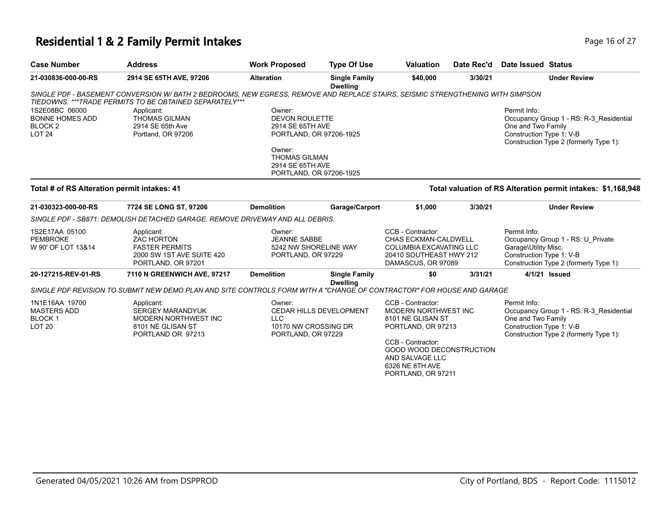# **Residential 1 & 2 Family Permit Intakes Page 16 of 27 Page 16 of 27**

| <b>Case Number</b>                                                                  | <b>Address</b>                                                                                                                                                                             | <b>Work Proposed</b>                                                           | <b>Type Of Use</b>                      | <b>Valuation</b>                                                                                                                                                                                  | Date Rec'd | <b>Date Issued Status</b>                                        |                                                                                   |
|-------------------------------------------------------------------------------------|--------------------------------------------------------------------------------------------------------------------------------------------------------------------------------------------|--------------------------------------------------------------------------------|-----------------------------------------|---------------------------------------------------------------------------------------------------------------------------------------------------------------------------------------------------|------------|------------------------------------------------------------------|-----------------------------------------------------------------------------------|
| 21-030836-000-00-RS                                                                 | 2914 SE 65TH AVE, 97206                                                                                                                                                                    | <b>Alteration</b>                                                              | <b>Single Family</b><br><b>Dwelling</b> | \$40,000                                                                                                                                                                                          | 3/30/21    |                                                                  | <b>Under Review</b>                                                               |
|                                                                                     | SINGLE PDF - BASEMENT CONVERSION W/ BATH 2 BEDROOMS, NEW EGRESS, REMOVE AND REPLACE STAIRS, SEISMIC STRENGTHENING WITH SIMPSON<br>TIEDOWNS. *** TRADE PERMITS TO BE OBTAINED SEPARATELY*** |                                                                                |                                         |                                                                                                                                                                                                   |            |                                                                  |                                                                                   |
| 1S2E08BC 06000<br><b>BONNE HOMES ADD</b><br>BLOCK <sub>2</sub><br>LOT <sub>24</sub> | Applicant:<br><b>THOMAS GILMAN</b><br>2914 SE 65th Ave<br>Portland, OR 97206                                                                                                               | Owner:<br><b>DEVON ROULETTE</b><br>2914 SE 65TH AVE<br>PORTLAND, OR 97206-1925 |                                         |                                                                                                                                                                                                   |            | Permit Info:<br>One and Two Family<br>Construction Type 1: V-B   | Occupancy Group 1 - RS: R-3_Residential<br>Construction Type 2 (formerly Type 1): |
|                                                                                     |                                                                                                                                                                                            | Owner:<br><b>THOMAS GILMAN</b><br>2914 SE 65TH AVE<br>PORTLAND, OR 97206-1925  |                                         |                                                                                                                                                                                                   |            |                                                                  |                                                                                   |
| Total # of RS Alteration permit intakes: 41                                         |                                                                                                                                                                                            |                                                                                |                                         |                                                                                                                                                                                                   |            |                                                                  | Total valuation of RS Alteration permit intakes: \$1,168,948                      |
| 21-030323-000-00-RS                                                                 | 7724 SE LONG ST, 97206                                                                                                                                                                     | <b>Demolition</b>                                                              | Garage/Carport                          | \$1,000                                                                                                                                                                                           | 3/30/21    |                                                                  | <b>Under Review</b>                                                               |
|                                                                                     | SINGLE PDF - SB871: DEMOLISH DETACHED GARAGE. REMOVE DRIVEWAY AND ALL DEBRIS.                                                                                                              |                                                                                |                                         |                                                                                                                                                                                                   |            |                                                                  |                                                                                   |
| 1S2E17AA 05100<br><b>PEMBROKE</b><br>W 90' OF LOT 13&14                             | Applicant:<br><b>ZAC HORTON</b><br><b>FASTER PERMITS</b><br>2000 SW 1ST AVE SUITE 420<br>PORTLAND, OR 97201                                                                                | Owner:<br><b>JEANNE SABBE</b><br>5242 NW SHORELINE WAY<br>PORTLAND, OR 97229   |                                         | CCB - Contractor:<br>CHAS ECKMAN-CALDWELL<br>COLUMBIA EXCAVATING LLC<br>20410 SOUTHEAST HWY 212<br>DAMASCUS, OR 97089                                                                             |            | Permit Info:<br>Garage\Utility Misc.<br>Construction Type 1: V-B | Occupancy Group 1 - RS: U Private<br>Construction Type 2 (formerly Type 1):       |
| 20-127215-REV-01-RS                                                                 | 7110 N GREENWICH AVE, 97217                                                                                                                                                                | <b>Demolition</b>                                                              | <b>Single Family</b>                    | \$0                                                                                                                                                                                               | 3/31/21    |                                                                  | 4/1/21 Issued                                                                     |
|                                                                                     | SINGLE PDF REVISION TO SUBMIT NEW DEMO PLAN AND SITE CONTROLS FORM WITH A "CHANGE OF CONTRACTOR" FOR HOUSE AND GARAGE                                                                      |                                                                                | <b>Dwelling</b>                         |                                                                                                                                                                                                   |            |                                                                  |                                                                                   |
| 1N1E16AA 19700<br><b>MASTERS ADD</b><br><b>BLOCK1</b><br>LOT <sub>20</sub>          | Applicant:<br><b>SERGEY MARANDYUK</b><br>MODERN NORTHWEST INC<br>8101 NE GLISAN ST<br>PORTLAND OR 97213                                                                                    | Owner:<br><b>LLC</b><br>10170 NW CROSSING DR<br>PORTLAND, OR 97229             | <b>CEDAR HILLS DEVELOPMENT</b>          | CCB - Contractor:<br>MODERN NORTHWEST INC<br>8101 NE GLISAN ST<br>PORTLAND, OR 97213<br>CCB - Contractor:<br>GOOD WOOD DECONSTRUCTION<br>AND SALVAGE LLC<br>6326 NE 8TH AVE<br>PORTLAND, OR 97211 |            | Permit Info:<br>One and Two Family<br>Construction Type 1: V-B   | Occupancy Group 1 - RS: R-3 Residential<br>Construction Type 2 (formerly Type 1): |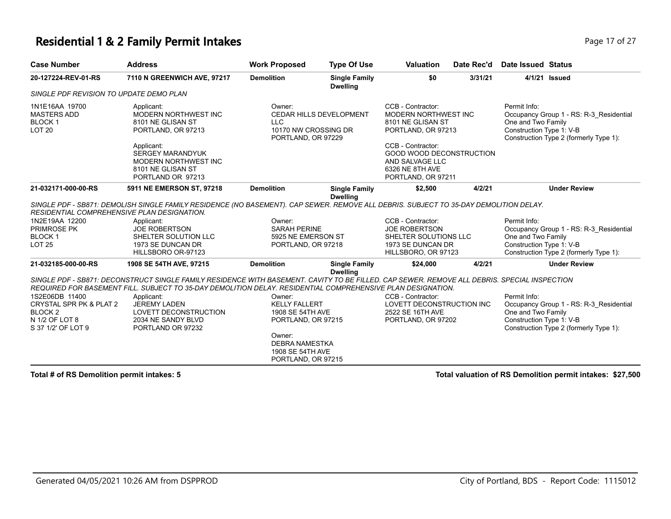#### **Residential 1 & 2 Family Permit Intakes Page 17 of 27 Page 17 of 27**

| <b>Case Number</b>                                                                                                    | <b>Address</b>                                                                                                                                                                                                                                                                                                                                                       | <b>Work Proposed</b>                                                                                                                                  | <b>Type Of Use</b>                      | <b>Valuation</b>                                                                                                                                                                                         | Date Rec'd | Date Issued Status                                             |                                                                                   |
|-----------------------------------------------------------------------------------------------------------------------|----------------------------------------------------------------------------------------------------------------------------------------------------------------------------------------------------------------------------------------------------------------------------------------------------------------------------------------------------------------------|-------------------------------------------------------------------------------------------------------------------------------------------------------|-----------------------------------------|----------------------------------------------------------------------------------------------------------------------------------------------------------------------------------------------------------|------------|----------------------------------------------------------------|-----------------------------------------------------------------------------------|
| 20-127224-REV-01-RS                                                                                                   | 7110 N GREENWICH AVE, 97217                                                                                                                                                                                                                                                                                                                                          | <b>Demolition</b>                                                                                                                                     | <b>Single Family</b><br><b>Dwelling</b> | \$0                                                                                                                                                                                                      | 3/31/21    |                                                                | 4/1/21 Issued                                                                     |
| SINGLE PDF REVISION TO UPDATE DEMO PLAN                                                                               |                                                                                                                                                                                                                                                                                                                                                                      |                                                                                                                                                       |                                         |                                                                                                                                                                                                          |            |                                                                |                                                                                   |
| 1N1E16AA 19700<br><b>MASTERS ADD</b><br><b>BLOCK1</b><br><b>LOT 20</b>                                                | Applicant:<br>MODERN NORTHWEST INC<br>8101 NE GLISAN ST<br>PORTLAND, OR 97213<br>Applicant:<br><b>SERGEY MARANDYUK</b><br>MODERN NORTHWEST INC<br>8101 NE GLISAN ST<br>PORTLAND OR 97213                                                                                                                                                                             | Owner:<br>LLC<br>10170 NW CROSSING DR<br>PORTLAND, OR 97229                                                                                           | CEDAR HILLS DEVELOPMENT                 | CCB - Contractor:<br>MODERN NORTHWEST INC<br>8101 NE GLISAN ST<br>PORTLAND, OR 97213<br>CCB - Contractor:<br><b>GOOD WOOD DECONSTRUCTION</b><br>AND SALVAGE LLC<br>6326 NE 8TH AVE<br>PORTLAND, OR 97211 |            | Permit Info:<br>One and Two Family<br>Construction Type 1: V-B | Occupancy Group 1 - RS: R-3 Residential<br>Construction Type 2 (formerly Type 1): |
| 21-032171-000-00-RS                                                                                                   | 5911 NE EMERSON ST, 97218                                                                                                                                                                                                                                                                                                                                            | <b>Demolition</b>                                                                                                                                     | <b>Single Family</b><br><b>Dwelling</b> | \$2,500                                                                                                                                                                                                  | 4/2/21     |                                                                | <b>Under Review</b>                                                               |
| RESIDENTIAL COMPREHENSIVE PLAN DESIGNATION.<br>1N2E19AA 12200<br><b>PRIMROSE PK</b><br><b>BLOCK1</b><br><b>LOT 25</b> | SINGLE PDF - SB871: DEMOLISH SINGLE FAMILY RESIDENCE (NO BASEMENT). CAP SEWER. REMOVE ALL DEBRIS. SUBJECT TO 35-DAY DEMOLITION DELAY.<br>Applicant:<br><b>JOE ROBERTSON</b><br>SHELTER SOLUTION LLC<br>1973 SE DUNCAN DR<br>HILLSBORO OR-97123                                                                                                                       | Owner:<br><b>SARAH PERINE</b><br>5925 NE EMERSON ST<br>PORTLAND, OR 97218                                                                             |                                         | CCB - Contractor:<br><b>JOE ROBERTSON</b><br>SHELTER SOLUTIONS LLC<br>1973 SE DUNCAN DR<br>HILLSBORO, OR 97123                                                                                           |            | Permit Info:<br>One and Two Family<br>Construction Type 1: V-B | Occupancy Group 1 - RS: R-3 Residential<br>Construction Type 2 (formerly Type 1): |
| 21-032185-000-00-RS                                                                                                   | 1908 SE 54TH AVE, 97215                                                                                                                                                                                                                                                                                                                                              | <b>Demolition</b>                                                                                                                                     | <b>Single Family</b><br><b>Dwelling</b> | \$24,000                                                                                                                                                                                                 | 4/2/21     |                                                                | <b>Under Review</b>                                                               |
| 1S2E06DB 11400<br>CRYSTAL SPR PK & PLAT 2<br>BLOCK <sub>2</sub><br>N 1/2 OF LOT 8<br>S 37 1/2' OF LOT 9               | SINGLE PDF - SB871: DECONSTRUCT SINGLE FAMILY RESIDENCE WITH BASEMENT. CAVITY TO BE FILLED. CAP SEWER. REMOVE ALL DEBRIS. SPECIAL INSPECTION<br>REQUIRED FOR BASEMENT FILL. SUBJECT TO 35-DAY DEMOLITION DELAY. RESIDENTIAL COMPREHENSIVE PLAN DESIGNATION.<br>Applicant:<br><b>JEREMY LADEN</b><br>LOVETT DECONSTRUCTION<br>2034 NE SANDY BLVD<br>PORTLAND OR 97232 | Owner:<br><b>KELLY FALLERT</b><br>1908 SE 54TH AVE<br>PORTLAND, OR 97215<br>Owner:<br><b>DEBRA NAMESTKA</b><br>1908 SE 54TH AVE<br>PORTLAND, OR 97215 |                                         | CCB - Contractor:<br>LOVETT DECONSTRUCTION INC<br>2522 SE 16TH AVE<br>PORTLAND, OR 97202                                                                                                                 |            | Permit Info:<br>One and Two Family<br>Construction Type 1: V-B | Occupancy Group 1 - RS: R-3 Residential<br>Construction Type 2 (formerly Type 1): |

**Total # of RS Demolition permit intakes: 5 Total valuation of RS Demolition permit intakes: \$27,500**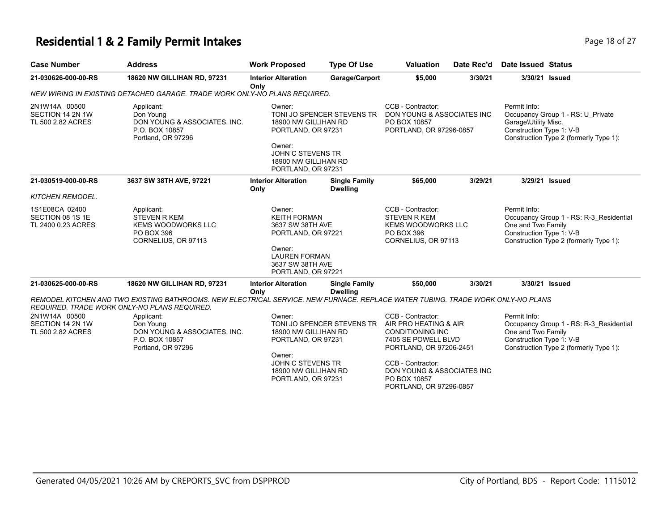#### **Residential 1 & 2 Family Permit Intakes Page 18 of 27 Page 18 of 27**

| $\sim$ . The state is the state of $\sim$ . The state of $\sim$ |                                    |                                    |                    |                  |            |                    |  |  |
|-----------------------------------------------------------------|------------------------------------|------------------------------------|--------------------|------------------|------------|--------------------|--|--|
| <b>Case Number</b>                                              | Address                            | <b>Work Proposed</b>               | <b>Type Of Use</b> | <b>Valuation</b> | Date Rec'd | Date Issued Status |  |  |
| 21-030626-000-00-RS                                             | <b>18620 NW GILLIHAN RD. 97231</b> | <b>Interior Alteration</b><br>Only | Garage/Carport     | \$5,000          | 3/30/21    | 3/30/21 Issued     |  |  |

**Only** *NEW WIRING IN EXISTING DETACHED GARAGE. TRADE WORK ONLY-NO PLANS REQUIRED.*

|                                                          | <u>MINING IN EAIGHNG DE IAOHED GANAGE. TIVADE MONN ONET-NOT EANG NEWGINED</u>                                                                                  |                                                                                                                                                                 |                                         |                                                                                                                                                                                                                       |         |                                                                                                                                                     |  |                                                                                                                                                 |
|----------------------------------------------------------|----------------------------------------------------------------------------------------------------------------------------------------------------------------|-----------------------------------------------------------------------------------------------------------------------------------------------------------------|-----------------------------------------|-----------------------------------------------------------------------------------------------------------------------------------------------------------------------------------------------------------------------|---------|-----------------------------------------------------------------------------------------------------------------------------------------------------|--|-------------------------------------------------------------------------------------------------------------------------------------------------|
| 2N1W14A 00500<br>SECTION 14 2N 1W<br>TL 500 2.82 ACRES   | Applicant:<br>Don Young<br>DON YOUNG & ASSOCIATES, INC.<br>P.O. BOX 10857<br>Portland, OR 97296                                                                | Owner:<br>TONI JO SPENCER STEVENS TR<br>18900 NW GILLIHAN RD<br>PORTLAND, OR 97231<br>Owner:<br>JOHN C STEVENS TR<br>18900 NW GILLIHAN RD<br>PORTLAND, OR 97231 |                                         |                                                                                                                                                                                                                       |         | CCB - Contractor:<br>DON YOUNG & ASSOCIATES INC<br>PO BOX 10857<br>PORTLAND, OR 97296-0857                                                          |  | Permit Info:<br>Occupancy Group 1 - RS: U Private<br>Garage\Utility Misc.<br>Construction Type 1: V-B<br>Construction Type 2 (formerly Type 1): |
| 21-030519-000-00-RS<br><b>KITCHEN REMODEL.</b>           | 3637 SW 38TH AVE, 97221                                                                                                                                        | <b>Interior Alteration</b><br>Only                                                                                                                              | <b>Single Family</b><br><b>Dwelling</b> | \$65,000                                                                                                                                                                                                              | 3/29/21 | 3/29/21 Issued                                                                                                                                      |  |                                                                                                                                                 |
| 1S1E08CA 02400<br>SECTION 08 1S 1E<br>TL 2400 0.23 ACRES | Applicant:<br><b>STEVEN R KEM</b><br><b>KEMS WOODWORKS LLC</b><br>PO BOX 396<br>CORNELIUS, OR 97113                                                            | Owner:<br><b>KEITH FORMAN</b><br>3637 SW 38TH AVE<br>PORTLAND, OR 97221<br>Owner:<br><b>LAUREN FORMAN</b><br>3637 SW 38TH AVE<br>PORTLAND, OR 97221             |                                         | CCB - Contractor:<br><b>STEVEN R KEM</b><br><b>KEMS WOODWORKS LLC</b><br>PO BOX 396<br>CORNELIUS, OR 97113                                                                                                            |         | Permit Info:<br>Occupancy Group 1 - RS: R-3 Residential<br>One and Two Family<br>Construction Type 1: V-B<br>Construction Type 2 (formerly Type 1): |  |                                                                                                                                                 |
| 21-030625-000-00-RS                                      | 18620 NW GILLIHAN RD, 97231<br>REMODEL KITCHEN AND TWO EXISTING BATHROOMS. NEW ELECTRICAL SERVICE. NEW FURNACE. REPLACE WATER TUBING. TRADE WORK ONLY-NO PLANS | <b>Interior Alteration</b><br>Only                                                                                                                              | <b>Single Family</b><br><b>Dwelling</b> | \$50,000                                                                                                                                                                                                              | 3/30/21 | 3/30/21 Issued                                                                                                                                      |  |                                                                                                                                                 |
|                                                          | REQUIRED. TRADE WORK ONLY-NO PLANS REQUIRED.                                                                                                                   |                                                                                                                                                                 |                                         |                                                                                                                                                                                                                       |         |                                                                                                                                                     |  |                                                                                                                                                 |
| 2N1W14A 00500<br>SECTION 14 2N 1W<br>TL 500 2.82 ACRES   | Applicant:<br>Don Young<br>DON YOUNG & ASSOCIATES, INC.<br>P.O. BOX 10857<br>Portland, OR 97296                                                                | Owner:<br>18900 NW GILLIHAN RD<br>PORTLAND, OR 97231<br>Owner:<br>JOHN C STEVENS TR<br>18900 NW GILLIHAN RD<br>PORTLAND, OR 97231                               | TONI JO SPENCER STEVENS TR              | CCB - Contractor:<br>AIR PRO HEATING & AIR<br><b>CONDITIONING INC</b><br>7405 SE POWELL BLVD<br>PORTLAND, OR 97206-2451<br>CCB - Contractor:<br>DON YOUNG & ASSOCIATES INC<br>PO BOX 10857<br>PORTLAND, OR 97296-0857 |         | Permit Info:<br>Occupancy Group 1 - RS: R-3 Residential<br>One and Two Family<br>Construction Type 1: V-B<br>Construction Type 2 (formerly Type 1): |  |                                                                                                                                                 |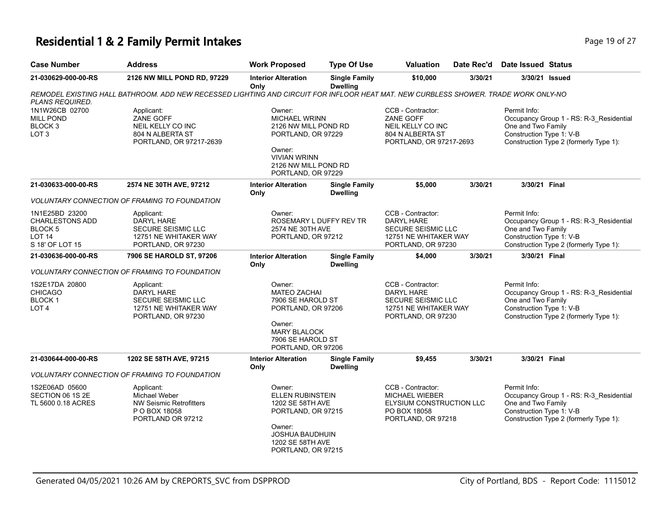### **Residential 1 & 2 Family Permit Intakes Page 19 of 27 Page 19 of 27**

| <b>Case Number</b>                                                                      | <b>Address</b>                                                                                                                      | <b>Work Proposed</b>                                                                                                                                        | <b>Type Of Use</b>                                                                                         | Valuation                                                                                             | Date Rec'd                                                                                           | <b>Date Issued Status</b>                                      |                                                                                                                                     |
|-----------------------------------------------------------------------------------------|-------------------------------------------------------------------------------------------------------------------------------------|-------------------------------------------------------------------------------------------------------------------------------------------------------------|------------------------------------------------------------------------------------------------------------|-------------------------------------------------------------------------------------------------------|------------------------------------------------------------------------------------------------------|----------------------------------------------------------------|-------------------------------------------------------------------------------------------------------------------------------------|
| 21-030629-000-00-RS                                                                     | 2126 NW MILL POND RD, 97229                                                                                                         | <b>Interior Alteration</b><br>Only                                                                                                                          | <b>Single Family</b><br><b>Dwelling</b>                                                                    | \$10,000                                                                                              | 3/30/21                                                                                              |                                                                | 3/30/21 Issued                                                                                                                      |
| PLANS REQUIRED.                                                                         | REMODEL EXISTING HALL BATHROOM. ADD NEW RECESSED LIGHTING AND CIRCUIT FOR INFLOOR HEAT MAT. NEW CURBLESS SHOWER. TRADE WORK ONLY-NO |                                                                                                                                                             |                                                                                                            |                                                                                                       |                                                                                                      |                                                                |                                                                                                                                     |
| 1N1W26CB 02700<br><b>MILL POND</b><br>BLOCK <sub>3</sub><br>LOT <sub>3</sub>            | Applicant:<br>ZANE GOFF<br>NEIL KELLY CO INC<br>804 N ALBERTA ST<br>PORTLAND, OR 97217-2639                                         | Owner:<br><b>MICHAEL WRINN</b><br>2126 NW MILL POND RD<br>PORTLAND, OR 97229<br>Owner:<br><b>VIVIAN WRINN</b><br>2126 NW MILL POND RD<br>PORTLAND, OR 97229 |                                                                                                            | CCB - Contractor:<br>ZANE GOFF<br>NEIL KELLY CO INC<br>804 N ALBERTA ST<br>PORTLAND, OR 97217-2693    |                                                                                                      | Permit Info:<br>One and Two Family<br>Construction Type 1: V-B | Occupancy Group 1 - RS: R-3_Residential<br>Construction Type 2 (formerly Type 1):                                                   |
| 21-030633-000-00-RS                                                                     | 2574 NE 30TH AVE, 97212                                                                                                             | <b>Interior Alteration</b><br>Only                                                                                                                          | <b>Single Family</b><br><b>Dwelling</b>                                                                    | \$5,000                                                                                               | 3/30/21                                                                                              | 3/30/21 Final                                                  |                                                                                                                                     |
|                                                                                         | VOLUNTARY CONNECTION OF FRAMING TO FOUNDATION                                                                                       |                                                                                                                                                             |                                                                                                            |                                                                                                       |                                                                                                      |                                                                |                                                                                                                                     |
| 1N1E25BD 23200<br><b>CHARLESTONS ADD</b><br>BLOCK 5<br><b>LOT 14</b><br>S 18' OF LOT 15 | Applicant:<br>DARYL HARE<br>SECURE SEISMIC LLC<br>12751 NE WHITAKER WAY<br>PORTLAND, OR 97230                                       | Owner:<br>2574 NE 30TH AVE<br>PORTLAND, OR 97212                                                                                                            | ROSEMARY L DUFFY REV TR                                                                                    | CCB - Contractor:<br>DARYL HARE<br>SECURE SEISMIC LLC<br>12751 NE WHITAKER WAY<br>PORTLAND, OR 97230  |                                                                                                      | Permit Info:<br>One and Two Family<br>Construction Type 1: V-B | Occupancy Group 1 - RS: R-3_Residential<br>Construction Type 2 (formerly Type 1):                                                   |
| 21-030636-000-00-RS                                                                     | 7906 SE HAROLD ST, 97206                                                                                                            | <b>Interior Alteration</b><br>Only                                                                                                                          | <b>Single Family</b><br><b>Dwelling</b>                                                                    | \$4,000                                                                                               | 3/30/21                                                                                              | 3/30/21 Final                                                  |                                                                                                                                     |
|                                                                                         | <i>VOLUNTARY CONNECTION OF FRAMING TO FOUNDATION</i>                                                                                |                                                                                                                                                             |                                                                                                            |                                                                                                       |                                                                                                      |                                                                |                                                                                                                                     |
| 1S2E17DA 20800<br><b>CHICAGO</b><br>BLOCK 1<br>LOT <sub>4</sub>                         | Applicant:<br>DARYL HARE<br>SECURE SEISMIC LLC<br>12751 NE WHITAKER WAY<br>PORTLAND, OR 97230                                       | Owner:<br>Owner:<br>PORTLAND, OR 97206                                                                                                                      | <b>MATEO ZACHAI</b><br>7906 SE HAROLD ST<br>PORTLAND, OR 97206<br><b>MARY BLALOCK</b><br>7906 SE HAROLD ST |                                                                                                       | CCB - Contractor:<br>DARYL HARE<br>SECURE SEISMIC LLC<br>12751 NE WHITAKER WAY<br>PORTLAND, OR 97230 |                                                                | Occupancy Group 1 - RS: R-3_Residential<br>One and Two Family<br>Construction Type 1: V-B<br>Construction Type 2 (formerly Type 1): |
| 21-030644-000-00-RS                                                                     | 1202 SE 58TH AVE, 97215                                                                                                             | <b>Interior Alteration</b><br>Only                                                                                                                          | <b>Single Family</b><br><b>Dwelling</b>                                                                    | \$9,455                                                                                               | 3/30/21                                                                                              | 3/30/21 Final                                                  |                                                                                                                                     |
|                                                                                         | <b>VOLUNTARY CONNECTION OF FRAMING TO FOUNDATION</b>                                                                                |                                                                                                                                                             |                                                                                                            |                                                                                                       |                                                                                                      |                                                                |                                                                                                                                     |
| 1S2E06AD 05600<br>SECTION 06 1S 2E<br>TL 5600 0.18 ACRES                                | Applicant:<br>Michael Weber<br><b>NW Seismic Retrofitters</b><br>P O BOX 18058<br>PORTLAND OR 97212                                 | Owner:<br>ELLEN RUBINSTEIN<br>1202 SE 58TH AVE<br>PORTLAND, OR 97215<br>Owner:<br><b>JOSHUA BAUDHUIN</b><br>1202 SE 58TH AVE<br>PORTLAND, OR 97215          |                                                                                                            | CCB - Contractor:<br>MICHAEL WIEBER<br>ELYSIUM CONSTRUCTION LLC<br>PO BOX 18058<br>PORTLAND, OR 97218 |                                                                                                      | Permit Info:<br>One and Two Family<br>Construction Type 1: V-B | Occupancy Group 1 - RS: R-3_Residential<br>Construction Type 2 (formerly Type 1):                                                   |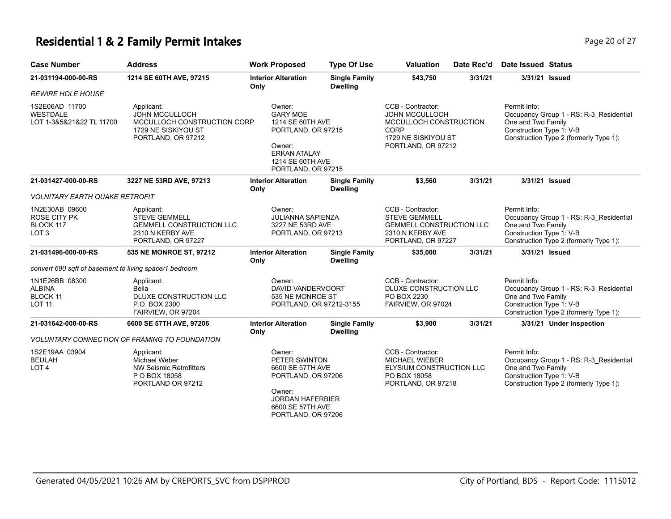# **Residential 1 & 2 Family Permit Intakes Page 20 of 27 Page 20 of 27**

| <b>Case Number</b>                                                  | <b>Address</b>                                                                                                  | <b>Work Proposed</b>                                                                                                                             | <b>Type Of Use</b>                                               | <b>Valuation</b>                                                                                                                 | Date Rec'd                                   | Date Issued Status                                                                                                                                  |
|---------------------------------------------------------------------|-----------------------------------------------------------------------------------------------------------------|--------------------------------------------------------------------------------------------------------------------------------------------------|------------------------------------------------------------------|----------------------------------------------------------------------------------------------------------------------------------|----------------------------------------------|-----------------------------------------------------------------------------------------------------------------------------------------------------|
| 21-031194-000-00-RS                                                 | 1214 SE 60TH AVE, 97215                                                                                         | <b>Interior Alteration</b><br>Only                                                                                                               | <b>Single Family</b><br><b>Dwelling</b>                          | \$43,750                                                                                                                         | 3/31/21                                      | 3/31/21 Issued                                                                                                                                      |
| <i>REWIRE HOLE HOUSE</i>                                            |                                                                                                                 |                                                                                                                                                  |                                                                  |                                                                                                                                  |                                              |                                                                                                                                                     |
| 1S2E06AD 11700<br>WESTDALE<br>LOT 1-3&5&21&22 TL 11700              | Applicant:<br><b>JOHN MCCULLOCH</b><br>MCCULLOCH CONSTRUCTION CORP<br>1729 NE SISKIYOU ST<br>PORTLAND, OR 97212 | Owner:<br><b>GARY MOE</b><br>1214 SE 60TH AVE<br>PORTLAND, OR 97215<br>Owner:<br><b>ERKAN ATALAY</b><br>1214 SE 60TH AVE<br>PORTLAND, OR 97215   |                                                                  | CCB - Contractor:<br><b>JOHN MCCULLOCH</b><br>MCCULLOCH CONSTRUCTION<br><b>CORP</b><br>1729 NE SISKIYOU ST<br>PORTLAND, OR 97212 |                                              | Permit Info:<br>Occupancy Group 1 - RS: R-3_Residential<br>One and Two Family<br>Construction Type 1: V-B<br>Construction Type 2 (formerly Type 1): |
| 21-031427-000-00-RS                                                 | 3227 NE 53RD AVE, 97213                                                                                         | <b>Interior Alteration</b><br>Only                                                                                                               | <b>Single Family</b><br><b>Dwelling</b>                          | \$3,560                                                                                                                          | 3/31/21                                      | 3/31/21 Issued                                                                                                                                      |
| <b>VOLNITARY EARTH QUAKE RETROFIT</b>                               |                                                                                                                 |                                                                                                                                                  |                                                                  |                                                                                                                                  |                                              |                                                                                                                                                     |
| 1N2E30AB 09600<br>ROSE CITY PK<br>BLOCK 117<br>LOT <sub>3</sub>     | Applicant:<br><b>STEVE GEMMELL</b><br><b>GEMMELL CONSTRUCTION LLC</b><br>2310 N KERBY AVE<br>PORTLAND, OR 97227 | Owner:<br><b>JULIANNA SAPIENZA</b><br>3227 NE 53RD AVE<br>PORTLAND, OR 97213                                                                     |                                                                  | CCB - Contractor:<br>STEVE GEMMELL<br><b>GEMMELL CONSTRUCTION LLC</b><br>2310 N KERBY AVE<br>PORTLAND, OR 97227                  |                                              | Permit Info:<br>Occupancy Group 1 - RS: R-3 Residential<br>One and Two Family<br>Construction Type 1: V-B<br>Construction Type 2 (formerly Type 1): |
| 21-031496-000-00-RS                                                 | 535 NE MONROE ST, 97212                                                                                         | <b>Interior Alteration</b><br>Only                                                                                                               | <b>Single Family</b><br><b>Dwelling</b>                          | \$35,000                                                                                                                         | 3/31/21                                      | 3/31/21 Issued                                                                                                                                      |
| convert 690 sqft of basement to living space/1 bedroom              |                                                                                                                 |                                                                                                                                                  |                                                                  |                                                                                                                                  |                                              |                                                                                                                                                     |
| 1N1E26BB 08300<br><b>ALBINA</b><br><b>BLOCK 11</b><br><b>LOT 11</b> | Applicant:<br>Bella<br>DLUXE CONSTRUCTION LLC<br>P.O. BOX 2300<br>FAIRVIEW, OR 97204                            | Owner:                                                                                                                                           | DAVID VANDERVOORT<br>535 NE MONROE ST<br>PORTLAND, OR 97212-3155 |                                                                                                                                  | DLUXE CONSTRUCTION LLC<br>FAIRVIEW, OR 97024 | Permit Info:<br>Occupancy Group 1 - RS: R-3_Residential<br>One and Two Family<br>Construction Type 1: V-B<br>Construction Type 2 (formerly Type 1): |
| 21-031642-000-00-RS                                                 | 6600 SE 57TH AVE, 97206                                                                                         | <b>Interior Alteration</b><br>Only                                                                                                               | <b>Single Family</b><br><b>Dwelling</b>                          | \$3,900                                                                                                                          | 3/31/21                                      | 3/31/21 Under Inspection                                                                                                                            |
|                                                                     | <b>VOLUNTARY CONNECTION OF FRAMING TO FOUNDATION</b>                                                            |                                                                                                                                                  |                                                                  |                                                                                                                                  |                                              |                                                                                                                                                     |
| 1S2E19AA 03904<br><b>BEULAH</b><br>LOT 4                            | Applicant:<br><b>Michael Weber</b><br><b>NW Seismic Retrofitters</b><br>P O BOX 18058<br>PORTLAND OR 97212      | Owner:<br>PETER SWINTON<br>6600 SE 57TH AVE<br>PORTLAND, OR 97206<br>Owner:<br><b>JORDAN HAFERBIER</b><br>6600 SE 57TH AVE<br>PORTLAND, OR 97206 |                                                                  | CCB - Contractor:<br><b>MICHAEL WIEBER</b><br>ELYSIUM CONSTRUCTION LLC<br>PO BOX 18058<br>PORTLAND, OR 97218                     |                                              | Permit Info:<br>Occupancy Group 1 - RS: R-3_Residential<br>One and Two Family<br>Construction Type 1: V-B<br>Construction Type 2 (formerly Type 1): |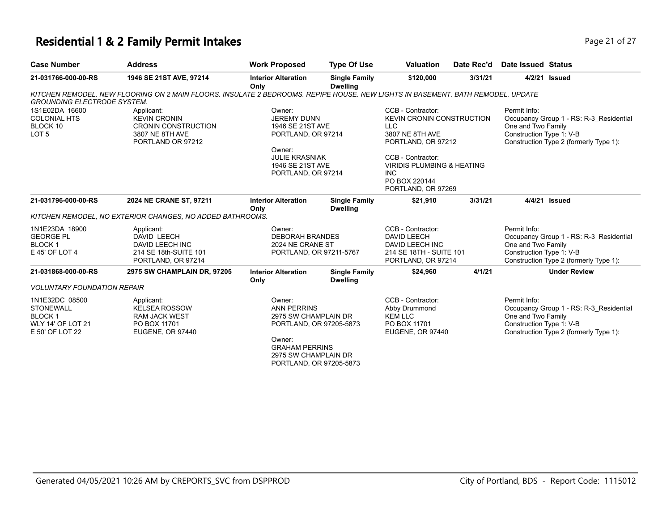### **Residential 1 & 2 Family Permit Intakes Page 21 of 27 Page 21 of 27**

|  | Page 21 o |  |
|--|-----------|--|
|  |           |  |

| <b>Case Number</b>                 | <b>Address</b>                                                                                                                  | <b>Work Proposed</b>               | <b>Type Of Use</b>                      | <b>Valuation</b>                      | Date Rec'd | Date Issued Status       |                                         |
|------------------------------------|---------------------------------------------------------------------------------------------------------------------------------|------------------------------------|-----------------------------------------|---------------------------------------|------------|--------------------------|-----------------------------------------|
| 21-031766-000-00-RS                | 1946 SE 21ST AVE, 97214                                                                                                         | <b>Interior Alteration</b><br>Only | <b>Single Family</b><br><b>Dwelling</b> | \$120,000                             | 3/31/21    |                          | 4/2/21 Issued                           |
|                                    | KITCHEN REMODEL. NEW FLOORING ON 2 MAIN FLOORS. INSULATE 2 BEDROOMS. REPIPE HOUSE. NEW LIGHTS IN BASEMENT. BATH REMODEL. UPDATE |                                    |                                         |                                       |            |                          |                                         |
| <b>GROUNDING ELECTRODE SYSTEM.</b> |                                                                                                                                 |                                    |                                         |                                       |            |                          |                                         |
| 1S1E02DA 16600                     | Applicant:                                                                                                                      | Owner:                             |                                         | CCB - Contractor:                     |            | Permit Info:             |                                         |
| <b>COLONIAL HTS</b>                | <b>KEVIN CRONIN</b>                                                                                                             | <b>JEREMY DUNN</b>                 |                                         | <b>KEVIN CRONIN CONSTRUCTION</b>      |            |                          | Occupancy Group 1 - RS: R-3_Residential |
| BLOCK 10                           | <b>CRONIN CONSTRUCTION</b>                                                                                                      | 1946 SE 21ST AVE                   |                                         | <b>LLC</b>                            |            | One and Two Family       |                                         |
| LOT <sub>5</sub>                   | 3807 NE 8TH AVE<br>PORTLAND OR 97212                                                                                            | PORTLAND, OR 97214                 |                                         | 3807 NE 8TH AVE                       |            | Construction Type 1: V-B |                                         |
|                                    |                                                                                                                                 | Owner:                             |                                         | PORTLAND, OR 97212                    |            |                          | Construction Type 2 (formerly Type 1):  |
|                                    |                                                                                                                                 | <b>JULIE KRASNIAK</b>              |                                         | CCB - Contractor:                     |            |                          |                                         |
|                                    |                                                                                                                                 | 1946 SE 21ST AVE                   |                                         | <b>VIRIDIS PLUMBING &amp; HEATING</b> |            |                          |                                         |
|                                    |                                                                                                                                 | PORTLAND, OR 97214                 |                                         | INC.                                  |            |                          |                                         |
|                                    |                                                                                                                                 |                                    |                                         | PO BOX 220144                         |            |                          |                                         |
|                                    |                                                                                                                                 |                                    |                                         | PORTLAND, OR 97269                    |            |                          |                                         |
| 21-031796-000-00-RS                | 2024 NE CRANE ST, 97211                                                                                                         | <b>Interior Alteration</b><br>Only | <b>Single Family</b><br><b>Dwelling</b> | \$21,910                              | 3/31/21    |                          | 4/4/21 Issued                           |
|                                    | KITCHEN REMODEL, NO EXTERIOR CHANGES, NO ADDED BATHROOMS.                                                                       |                                    |                                         |                                       |            |                          |                                         |
| 1N1E23DA 18900                     | Applicant:                                                                                                                      | Owner:                             |                                         | CCB - Contractor:                     |            | Permit Info:             |                                         |
| <b>GEORGE PL</b>                   | DAVID LEECH                                                                                                                     | <b>DEBORAH BRANDES</b>             |                                         | <b>DAVID LEECH</b>                    |            |                          | Occupancy Group 1 - RS: R-3 Residential |
| <b>BLOCK1</b>                      | DAVID LEECH INC                                                                                                                 | 2024 NE CRANE ST                   |                                         | DAVID LEECH INC                       |            | One and Two Family       |                                         |
| E 45' OF LOT 4                     | 214 SE 18th-SUITE 101                                                                                                           | PORTLAND, OR 97211-5767            |                                         | 214 SE 18TH - SUITE 101               |            | Construction Type 1: V-B |                                         |
|                                    | PORTLAND, OR 97214                                                                                                              |                                    |                                         | PORTLAND, OR 97214                    |            |                          | Construction Type 2 (formerly Type 1):  |
| 21-031868-000-00-RS                | 2975 SW CHAMPLAIN DR, 97205                                                                                                     | <b>Interior Alteration</b>         | <b>Single Family</b>                    | \$24,960                              | 4/1/21     |                          | <b>Under Review</b>                     |
|                                    |                                                                                                                                 | Only                               | <b>Dwelling</b>                         |                                       |            |                          |                                         |
| <b>VOLUNTARY FOUNDATION REPAIR</b> |                                                                                                                                 |                                    |                                         |                                       |            |                          |                                         |
| 1N1E32DC 08500                     | Applicant:                                                                                                                      | Owner:                             |                                         | CCB - Contractor:                     |            | Permit Info:             |                                         |
| <b>STONEWALL</b>                   | <b>KELSEA ROSSOW</b>                                                                                                            | <b>ANN PERRINS</b>                 |                                         | Abby Drummond                         |            |                          | Occupancy Group 1 - RS: R-3 Residential |
| <b>BLOCK1</b>                      | <b>RAM JACK WEST</b>                                                                                                            | 2975 SW CHAMPLAIN DR               |                                         | <b>KEM LLC</b>                        |            | One and Two Family       |                                         |
| <b>WLY 14' OF LOT 21</b>           | PO BOX 11701                                                                                                                    | PORTLAND, OR 97205-5873            |                                         | PO BOX 11701                          |            | Construction Type 1: V-B |                                         |
| E 50' OF LOT 22                    | EUGENE, OR 97440                                                                                                                |                                    |                                         | EUGENE, OR 97440                      |            |                          | Construction Type 2 (formerly Type 1):  |
|                                    |                                                                                                                                 | Owner:<br><b>GRAHAM PERRINS</b>    |                                         |                                       |            |                          |                                         |
|                                    |                                                                                                                                 | 2975 SW CHAMPLAIN DR               |                                         |                                       |            |                          |                                         |
|                                    |                                                                                                                                 | PORTLAND, OR 97205-5873            |                                         |                                       |            |                          |                                         |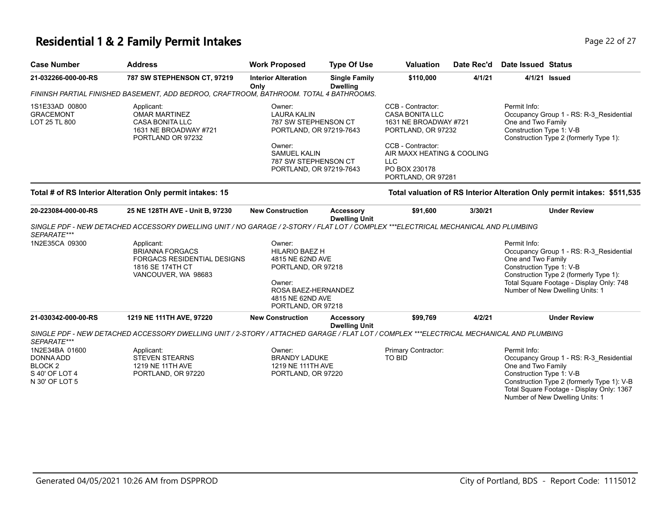#### **Residential 1 & 2 Family Permit Intakes Page 12 of 27 Page 22 of 27**

| <b>Case Number</b>                                  | <b>Address</b>                                                                                      | <b>Work Proposed</b>                                                                                                                                  | <b>Type Of Use</b>                      | <b>Valuation</b>                                                                                                                                                                      | Date Rec'd | Date Issued Status                                             |                                                                                   |
|-----------------------------------------------------|-----------------------------------------------------------------------------------------------------|-------------------------------------------------------------------------------------------------------------------------------------------------------|-----------------------------------------|---------------------------------------------------------------------------------------------------------------------------------------------------------------------------------------|------------|----------------------------------------------------------------|-----------------------------------------------------------------------------------|
| 21-032266-000-00-RS                                 | <b>787 SW STEPHENSON CT, 97219</b>                                                                  | <b>Interior Alteration</b><br>Only                                                                                                                    | <b>Single Family</b><br><b>Dwelling</b> | \$110,000                                                                                                                                                                             | 4/1/21     |                                                                | 4/1/21 <b>Issued</b>                                                              |
|                                                     | FININSH PARTIAL FINISHED BASEMENT, ADD BEDROO, CRAFTROOM, BATHROOM, TOTAL 4 BATHROOMS.              |                                                                                                                                                       |                                         |                                                                                                                                                                                       |            |                                                                |                                                                                   |
| 1S1E33AD 00800<br><b>GRACEMONT</b><br>LOT 25 TL 800 | Applicant:<br><b>OMAR MARTINEZ</b><br>CASA BONITA LLC<br>1631 NE BROADWAY #721<br>PORTLAND OR 97232 | Owner:<br>LAURA KALIN<br>787 SW STEPHENSON CT<br>PORTLAND, OR 97219-7643<br>Owner:<br>SAMUEL KALIN<br>787 SW STEPHENSON CT<br>PORTLAND, OR 97219-7643 |                                         | CCB - Contractor:<br>CASA BONITA LLC<br>1631 NE BROADWAY #721<br>PORTLAND, OR 97232<br>CCB - Contractor:<br>AIR MAXX HEATING & COOLING<br>LLC.<br>PO BOX 230178<br>PORTLAND, OR 97281 |            | Permit Info:<br>One and Two Family<br>Construction Type 1: V-B | Occupancy Group 1 - RS: R-3 Residential<br>Construction Type 2 (formerly Type 1): |

#### **Total # of RS Interior Alteration Only permit intakes: 15 Total valuation of RS Interior Alteration Only permit intakes: \$511,535**

| 20-223084-000-00-RS                                                        | 25 NE 128TH AVE - Unit B, 97230                                                                                                          | <b>New Construction</b>                                                                                                                              | <b>Accessory</b><br><b>Dwelling Unit</b> | \$91,600                      | 3/30/21 | <b>Under Review</b>                                                                                                                                                                                                                     |
|----------------------------------------------------------------------------|------------------------------------------------------------------------------------------------------------------------------------------|------------------------------------------------------------------------------------------------------------------------------------------------------|------------------------------------------|-------------------------------|---------|-----------------------------------------------------------------------------------------------------------------------------------------------------------------------------------------------------------------------------------------|
| SEPARATE***                                                                | SINGLE PDF - NEW DETACHED ACCESSORY DWELLING UNIT / NO GARAGE / 2-STORY / FLAT LOT / COMPLEX ***ELECTRICAL MECHANICAL AND PLUMBING       |                                                                                                                                                      |                                          |                               |         |                                                                                                                                                                                                                                         |
| 1N2E35CA 09300                                                             | Applicant:<br><b>BRIANNA FORGACS</b><br><b>FORGACS RESIDENTIAL DESIGNS</b><br>1816 SE 174TH CT<br>VANCOUVER, WA 98683                    | Owner:<br><b>HILARIO BAEZ H</b><br>4815 NE 62ND AVE<br>PORTLAND, OR 97218<br>Owner:<br>ROSA BAEZ-HERNANDEZ<br>4815 NE 62ND AVE<br>PORTLAND, OR 97218 |                                          |                               |         | Permit Info:<br>Occupancy Group 1 - RS: R-3 Residential<br>One and Two Family<br>Construction Type 1: V-B<br>Construction Type 2 (formerly Type 1):<br>Total Square Footage - Display Only: 748<br>Number of New Dwelling Units: 1      |
| 21-030342-000-00-RS                                                        | 1219 NE 111TH AVE, 97220                                                                                                                 | <b>New Construction</b>                                                                                                                              | Accessory<br><b>Dwelling Unit</b>        | \$99,769                      | 4/2/21  | <b>Under Review</b>                                                                                                                                                                                                                     |
| SEPARATE***                                                                | SINGLE PDF - NEW DETACHED ACCESSORY DWELLING UNIT / 2-STORY / ATTACHED GARAGE / FLAT LOT / COMPLEX ***ELECTRICAL MECHANICAL AND PLUMBING |                                                                                                                                                      |                                          |                               |         |                                                                                                                                                                                                                                         |
| 1N2E34BA 01600<br>DONNA ADD<br>BLOCK 2<br>S 40' OF LOT 4<br>N 30' OF LOT 5 | Applicant:<br><b>STEVEN STEARNS</b><br>1219 NE 11TH AVE<br>PORTLAND, OR 97220                                                            | Owner:<br><b>BRANDY LADUKE</b><br>1219 NE 111TH AVE<br>PORTLAND, OR 97220                                                                            |                                          | Primary Contractor:<br>TO BID |         | Permit Info:<br>Occupancy Group 1 - RS: R-3 Residential<br>One and Two Family<br>Construction Type 1: V-B<br>Construction Type 2 (formerly Type 1): V-B<br>Total Square Footage - Display Only: 1367<br>Number of New Dwelling Units: 1 |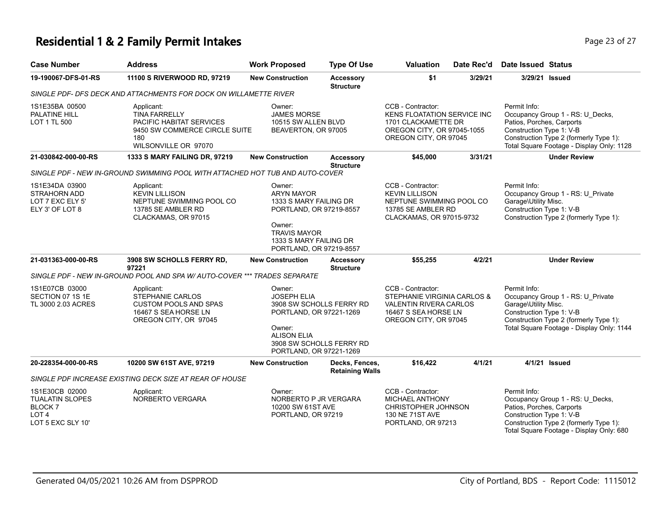#### **Residential 1 & 2 Family Permit Intakes Page 11 October 20 April 23 of 27 Page 23 of 27**

| <b>Case Number</b>                                                                                 | <b>Address</b>                                                                                                                 | <b>Work Proposed</b>                                                                                                                                                   | <b>Type Of Use</b>                                   | Valuation                                                                                                                             | Date Rec'd | <b>Date Issued Status</b>                                                                                                                                                                        |
|----------------------------------------------------------------------------------------------------|--------------------------------------------------------------------------------------------------------------------------------|------------------------------------------------------------------------------------------------------------------------------------------------------------------------|------------------------------------------------------|---------------------------------------------------------------------------------------------------------------------------------------|------------|--------------------------------------------------------------------------------------------------------------------------------------------------------------------------------------------------|
| 19-190067-DFS-01-RS                                                                                | 11100 S RIVERWOOD RD, 97219                                                                                                    | <b>New Construction</b>                                                                                                                                                | <b>Accessory</b><br><b>Structure</b>                 | \$1                                                                                                                                   | 3/29/21    | 3/29/21 Issued                                                                                                                                                                                   |
|                                                                                                    | SINGLE PDF- DFS DECK AND ATTACHMENTS FOR DOCK ON WILLAMETTE RIVER                                                              |                                                                                                                                                                        |                                                      |                                                                                                                                       |            |                                                                                                                                                                                                  |
| 1S1E35BA 00500<br>PALATINE HILL<br>LOT 1 TL 500                                                    | Applicant:<br><b>TINA FARRELLY</b><br>PACIFIC HABITAT SERVICES<br>9450 SW COMMERCE CIRCLE SUITE<br>180<br>WILSONVILLE OR 97070 | Owner:<br><b>JAMES MORSE</b><br>10515 SW ALLEN BLVD<br>BEAVERTON, OR 97005                                                                                             |                                                      | CCB - Contractor:<br><b>KENS FLOATATION SERVICE INC</b><br>1701 CLACKAMETTE DR<br>OREGON CITY, OR 97045-1055<br>OREGON CITY, OR 97045 |            | Permit Info:<br>Occupancy Group 1 - RS: U_Decks,<br>Patios, Porches, Carports<br>Construction Type 1: V-B<br>Construction Type 2 (formerly Type 1):<br>Total Square Footage - Display Only: 1128 |
| 21-030842-000-00-RS                                                                                | 1333 S MARY FAILING DR, 97219                                                                                                  | <b>New Construction</b>                                                                                                                                                | <b>Accessory</b><br><b>Structure</b>                 | \$45,000                                                                                                                              | 3/31/21    | <b>Under Review</b>                                                                                                                                                                              |
|                                                                                                    | SINGLE PDF - NEW IN-GROUND SWIMMING POOL WITH ATTACHED HOT TUB AND AUTO-COVER                                                  |                                                                                                                                                                        |                                                      |                                                                                                                                       |            |                                                                                                                                                                                                  |
| 1S1E34DA 03900<br>STRAHORN ADD<br>LOT 7 EXC ELY 5'<br>ELY 3' OF LOT 8                              | Applicant:<br><b>KEVIN LILLISON</b><br>NEPTUNE SWIMMING POOL CO<br>13785 SE AMBLER RD<br>CLACKAMAS, OR 97015                   | Owner:<br><b>ARYN MAYOR</b><br>1333 S MARY FAILING DR<br>PORTLAND, OR 97219-8557<br>Owner:<br><b>TRAVIS MAYOR</b><br>1333 S MARY FAILING DR<br>PORTLAND, OR 97219-8557 |                                                      | CCB - Contractor:<br><b>KEVIN LILLISON</b><br>NEPTUNE SWIMMING POOL CO<br>13785 SE AMBLER RD<br>CLACKAMAS, OR 97015-9732              |            | Permit Info:<br>Occupancy Group 1 - RS: U_Private<br>Garage\Utility Misc.<br>Construction Type 1: V-B<br>Construction Type 2 (formerly Type 1):                                                  |
| 21-031363-000-00-RS                                                                                | 3908 SW SCHOLLS FERRY RD.<br>97221                                                                                             | <b>New Construction</b>                                                                                                                                                | Accessory<br><b>Structure</b>                        | \$55,255                                                                                                                              | 4/2/21     | <b>Under Review</b>                                                                                                                                                                              |
|                                                                                                    | SINGLE PDF - NEW IN-GROUND POOL AND SPA W/ AUTO-COVER *** TRADES SEPARATE                                                      |                                                                                                                                                                        |                                                      |                                                                                                                                       |            |                                                                                                                                                                                                  |
| 1S1E07CB 03000<br>SECTION 07 1S 1E<br>TL 3000 2.03 ACRES                                           | Applicant:<br><b>STEPHANIE CARLOS</b><br><b>CUSTOM POOLS AND SPAS</b><br>16467 S SEA HORSE LN<br>OREGON CITY, OR 97045         | Owner:<br><b>JOSEPH ELIA</b><br>PORTLAND, OR 97221-1269<br>Owner:<br><b>ALISON ELIA</b><br>PORTLAND, OR 97221-1269                                                     | 3908 SW SCHOLLS FERRY RD<br>3908 SW SCHOLLS FERRY RD | CCB - Contractor:<br>STEPHANIE VIRGINIA CARLOS &<br><b>VALENTIN RIVERA CARLOS</b><br>16467 S SEA HORSE LN<br>OREGON CITY, OR 97045    |            | Permit Info:<br>Occupancy Group 1 - RS: U_Private<br>Garage\Utility Misc.<br>Construction Type 1: V-B<br>Construction Type 2 (formerly Type 1):<br>Total Square Footage - Display Only: 1144     |
| 20-228354-000-00-RS                                                                                | 10200 SW 61ST AVE, 97219                                                                                                       | <b>New Construction</b>                                                                                                                                                | Decks, Fences,<br><b>Retaining Walls</b>             | \$16,422                                                                                                                              | 4/1/21     | 4/1/21 <b>Issued</b>                                                                                                                                                                             |
|                                                                                                    | SINGLE PDF INCREASE EXISTING DECK SIZE AT REAR OF HOUSE                                                                        |                                                                                                                                                                        |                                                      |                                                                                                                                       |            |                                                                                                                                                                                                  |
| 1S1E30CB 02000<br><b>TUALATIN SLOPES</b><br><b>BLOCK7</b><br>LOT <sub>4</sub><br>LOT 5 EXC SLY 10' | Applicant:<br>NORBERTO VERGARA                                                                                                 | Owner:<br>NORBERTO P JR VERGARA<br>10200 SW 61ST AVE<br>PORTLAND, OR 97219                                                                                             |                                                      | CCB - Contractor:<br>MICHAEL ANTHONY<br><b>CHRISTOPHER JOHNSON</b><br>130 NE 71ST AVE<br>PORTLAND, OR 97213                           |            | Permit Info:<br>Occupancy Group 1 - RS: U_Decks,<br>Patios, Porches, Carports<br>Construction Type 1: V-B<br>Construction Type 2 (formerly Type 1):                                              |

Total Square Footage - Display Only: 680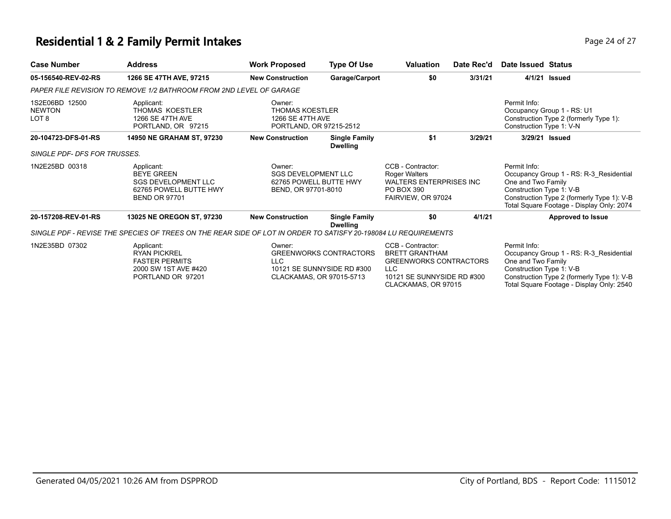# **Residential 1 & 2 Family Permit Intakes Page 24 of 27 Page 24 of 27**

| <b>Case Number</b>                       | <b>Address</b>                                                                                                  | <b>Work Proposed</b>                                                                  | <b>Type Of Use</b>                                          | <b>Valuation</b>                                                                                                                         | Date Rec'd | Date Issued Status                                                                                                                                                                                   |
|------------------------------------------|-----------------------------------------------------------------------------------------------------------------|---------------------------------------------------------------------------------------|-------------------------------------------------------------|------------------------------------------------------------------------------------------------------------------------------------------|------------|------------------------------------------------------------------------------------------------------------------------------------------------------------------------------------------------------|
| 05-156540-REV-02-RS                      | 1266 SE 47TH AVE, 97215                                                                                         | <b>New Construction</b>                                                               | Garage/Carport                                              | \$0                                                                                                                                      | 3/31/21    | 4/1/21 Issued                                                                                                                                                                                        |
|                                          | PAPER FILE REVISION TO REMOVE 1/2 BATHROOM FROM 2ND LEVEL OF GARAGE                                             |                                                                                       |                                                             |                                                                                                                                          |            |                                                                                                                                                                                                      |
| 1S2E06BD 12500<br><b>NEWTON</b><br>LOT 8 | Applicant:<br>THOMAS KOESTLER<br>1266 SE 47TH AVE<br>PORTLAND, OR 97215                                         | Owner:<br><b>THOMAS KOESTLER</b><br>1266 SE 47TH AVE<br>PORTLAND, OR 97215-2512       |                                                             |                                                                                                                                          |            | Permit Info:<br>Occupancy Group 1 - RS: U1<br>Construction Type 2 (formerly Type 1):<br>Construction Type 1: V-N                                                                                     |
| 20-104723-DFS-01-RS                      | 14950 NE GRAHAM ST, 97230                                                                                       | <b>New Construction</b>                                                               | <b>Single Family</b><br><b>Dwelling</b>                     | \$1                                                                                                                                      | 3/29/21    | 3/29/21 Issued                                                                                                                                                                                       |
| SINGLE PDF- DFS FOR TRUSSES.             |                                                                                                                 |                                                                                       |                                                             |                                                                                                                                          |            |                                                                                                                                                                                                      |
| 1N2E25BD 00318                           | Applicant:<br><b>BEYE GREEN</b><br><b>SGS DEVELOPMENT LLC</b><br>62765 POWELL BUTTE HWY<br><b>BEND OR 97701</b> | Owner:<br><b>SGS DEVELOPMENT LLC</b><br>62765 POWELL BUTTE HWY<br>BEND, OR 97701-8010 |                                                             | CCB - Contractor:<br><b>Roger Walters</b><br><b>WALTERS ENTERPRISES INC</b><br>PO BOX 390<br>FAIRVIEW, OR 97024                          |            | Permit Info:<br>Occupancy Group 1 - RS: R-3 Residential<br>One and Two Family<br>Construction Type 1: V-B<br>Construction Type 2 (formerly Type 1): V-B<br>Total Square Footage - Display Only: 2074 |
| 20-157208-REV-01-RS                      | <b>13025 NE OREGON ST, 97230</b>                                                                                | <b>New Construction</b>                                                               | <b>Single Family</b><br><b>Dwelling</b>                     | \$0                                                                                                                                      | 4/1/21     | <b>Approved to Issue</b>                                                                                                                                                                             |
|                                          | SINGLE PDF - REVISE THE SPECIES OF TREES ON THE REAR SIDE OF LOT IN ORDER TO SATISFY 20-198084 LU REQUIREMENTS  |                                                                                       |                                                             |                                                                                                                                          |            |                                                                                                                                                                                                      |
| 1N2E35BD 07302                           | Applicant:<br><b>RYAN PICKREL</b><br><b>FASTER PERMITS</b><br>2000 SW 1ST AVE #420<br>PORTLAND OR 97201         | Owner:<br><b>LLC</b><br>CLACKAMAS, OR 97015-5713                                      | <b>GREENWORKS CONTRACTORS</b><br>10121 SE SUNNYSIDE RD #300 | CCB - Contractor:<br><b>BRETT GRANTHAM</b><br><b>GREENWORKS CONTRACTORS</b><br>LLC.<br>10121 SE SUNNYSIDE RD #300<br>CLACKAMAS, OR 97015 |            | Permit Info:<br>Occupancy Group 1 - RS: R-3 Residential<br>One and Two Family<br>Construction Type 1: V-B<br>Construction Type 2 (formerly Type 1): V-B<br>Total Square Footage - Display Only: 2540 |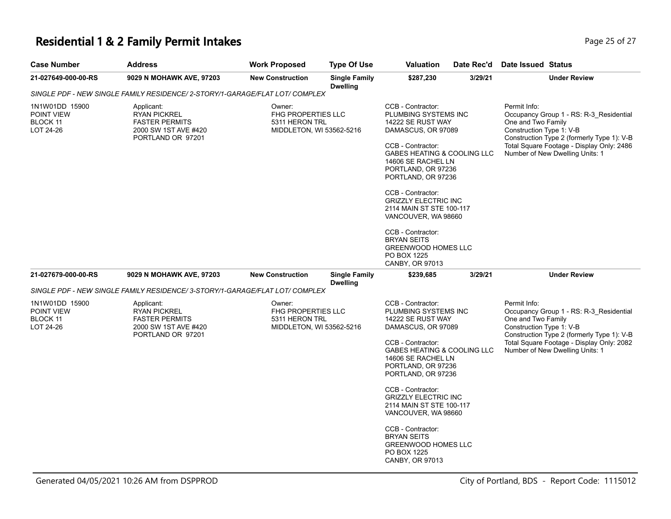## **Residential 1 & 2 Family Permit Intakes Page 25 of 27 Page 25 of 27**

| Case Number                                           | <b>Address</b>                                                                                                                      | <b>Work Proposed</b>    | <b>Type Of Use</b>                                                      | <b>Valuation</b>                                                                                                                                                                                           | Date Rec'd                                                                                                                                                                                                                                         | <b>Date Issued Status</b>                                                                                                                                                                                                               |
|-------------------------------------------------------|-------------------------------------------------------------------------------------------------------------------------------------|-------------------------|-------------------------------------------------------------------------|------------------------------------------------------------------------------------------------------------------------------------------------------------------------------------------------------------|----------------------------------------------------------------------------------------------------------------------------------------------------------------------------------------------------------------------------------------------------|-----------------------------------------------------------------------------------------------------------------------------------------------------------------------------------------------------------------------------------------|
| 21-027649-000-00-RS                                   | 9029 N MOHAWK AVE, 97203                                                                                                            | <b>New Construction</b> | <b>Single Family</b><br><b>Dwelling</b>                                 | \$287,230                                                                                                                                                                                                  | 3/29/21                                                                                                                                                                                                                                            | <b>Under Review</b>                                                                                                                                                                                                                     |
|                                                       | SINGLE PDF - NEW SINGLE FAMILY RESIDENCE/ 2-STORY/1-GARAGE/FLAT LOT/ COMPLEX                                                        |                         |                                                                         |                                                                                                                                                                                                            |                                                                                                                                                                                                                                                    |                                                                                                                                                                                                                                         |
| 1N1W01DD 15900<br>POINT VIEW<br>BLOCK 11<br>LOT 24-26 | Applicant:<br><b>RYAN PICKREL</b><br><b>FASTER PERMITS</b><br>2000 SW 1ST AVE #420<br>PORTLAND OR 97201                             | Owner:                  | <b>FHG PROPERTIES LLC</b><br>5311 HERON TRL<br>MIDDLETON, WI 53562-5216 |                                                                                                                                                                                                            | PLUMBING SYSTEMS INC<br>14222 SE RUST WAY<br>DAMASCUS, OR 97089<br>GABES HEATING & COOLING LLC<br>14606 SE RACHEL LN<br>PORTLAND, OR 97236<br>PORTLAND, OR 97236<br><b>GRIZZLY ELECTRIC INC</b><br>2114 MAIN ST STE 100-117<br>VANCOUVER, WA 98660 | Permit Info:<br>Occupancy Group 1 - RS: R-3_Residential<br>One and Two Family<br>Construction Type 1: V-B<br>Construction Type 2 (formerly Type 1): V-B<br>Total Square Footage - Display Only: 2486<br>Number of New Dwelling Units: 1 |
|                                                       |                                                                                                                                     |                         |                                                                         | CCB - Contractor:<br><b>BRYAN SEITS</b><br><b>GREENWOOD HOMES LLC</b><br>PO BOX 1225<br>CANBY, OR 97013                                                                                                    |                                                                                                                                                                                                                                                    |                                                                                                                                                                                                                                         |
| 21-027679-000-00-RS                                   | 9029 N MOHAWK AVE, 97203                                                                                                            | <b>New Construction</b> | <b>Single Family</b><br><b>Dwelling</b>                                 | \$239,685                                                                                                                                                                                                  | 3/29/21                                                                                                                                                                                                                                            | <b>Under Review</b>                                                                                                                                                                                                                     |
|                                                       | SINGLE PDF - NEW SINGLE FAMILY RESIDENCE/ 3-STORY/1-GARAGE/FLAT LOT/ COMPLEX                                                        |                         |                                                                         |                                                                                                                                                                                                            |                                                                                                                                                                                                                                                    |                                                                                                                                                                                                                                         |
| 1N1W01DD 15900<br>POINT VIEW<br>BLOCK 11<br>LOT 24-26 | Applicant:<br>Owner:<br><b>RYAN PICKREL</b><br><b>FASTER PERMITS</b><br>5311 HERON TRL<br>2000 SW 1ST AVE #420<br>PORTLAND OR 97201 |                         | <b>FHG PROPERTIES LLC</b><br>MIDDLETON, WI 53562-5216                   | CCB - Contractor:<br>PLUMBING SYSTEMS INC<br>14222 SE RUST WAY<br>DAMASCUS, OR 97089<br>CCB - Contractor:<br>GABES HEATING & COOLING LLC<br>14606 SE RACHEL LN<br>PORTLAND, OR 97236<br>PORTLAND, OR 97236 |                                                                                                                                                                                                                                                    | Permit Info:<br>Occupancy Group 1 - RS: R-3 Residential<br>One and Two Family<br>Construction Type 1: V-B<br>Construction Type 2 (formerly Type 1): V-B<br>Total Square Footage - Display Only: 2082<br>Number of New Dwelling Units: 1 |
|                                                       |                                                                                                                                     |                         |                                                                         | CCB - Contractor:<br><b>GRIZZLY ELECTRIC INC</b><br>2114 MAIN ST STE 100-117<br>VANCOUVER, WA 98660                                                                                                        |                                                                                                                                                                                                                                                    |                                                                                                                                                                                                                                         |
|                                                       |                                                                                                                                     |                         |                                                                         | CCB - Contractor:<br><b>BRYAN SEITS</b><br><b>GREENWOOD HOMES LLC</b><br>PO BOX 1225<br>CANBY, OR 97013                                                                                                    |                                                                                                                                                                                                                                                    |                                                                                                                                                                                                                                         |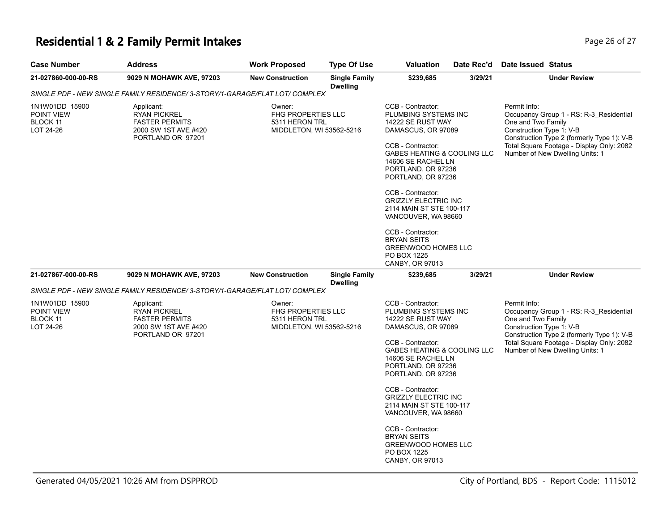# **Residential 1 & 2 Family Permit Intakes Page 26 of 27 Page 26 of 27**

| <b>Case Number</b>                                    | <b>Address</b>                                                                                                    | <b>Work Proposed</b>                                                              | <b>Type Of Use</b>                                                      | Valuation                                                                                                                                                                                                                                                                                                                                                    | Date Rec'd | <b>Date Issued Status</b>                                                                                                                                                                                                               |
|-------------------------------------------------------|-------------------------------------------------------------------------------------------------------------------|-----------------------------------------------------------------------------------|-------------------------------------------------------------------------|--------------------------------------------------------------------------------------------------------------------------------------------------------------------------------------------------------------------------------------------------------------------------------------------------------------------------------------------------------------|------------|-----------------------------------------------------------------------------------------------------------------------------------------------------------------------------------------------------------------------------------------|
| 21-027860-000-00-RS                                   | 9029 N MOHAWK AVE, 97203                                                                                          | <b>New Construction</b>                                                           | <b>Single Family</b><br><b>Dwelling</b>                                 | \$239,685                                                                                                                                                                                                                                                                                                                                                    | 3/29/21    | <b>Under Review</b>                                                                                                                                                                                                                     |
|                                                       | SINGLE PDF - NEW SINGLE FAMILY RESIDENCE/ 3-STORY/1-GARAGE/FLAT LOT/ COMPLEX                                      |                                                                                   |                                                                         |                                                                                                                                                                                                                                                                                                                                                              |            |                                                                                                                                                                                                                                         |
| 1N1W01DD 15900<br>POINT VIEW<br>BLOCK 11<br>LOT 24-26 | Applicant:<br><b>RYAN PICKREL</b><br><b>FASTER PERMITS</b><br>2000 SW 1ST AVE #420<br>PORTLAND OR 97201           | Owner:<br><b>FHG PROPERTIES LLC</b><br>5311 HERON TRL<br>MIDDLETON, WI 53562-5216 |                                                                         | CCB - Contractor:<br>PLUMBING SYSTEMS INC<br>14222 SE RUST WAY<br>DAMASCUS, OR 97089<br>CCB - Contractor:<br>GABES HEATING & COOLING LLC<br>14606 SE RACHEL LN<br>PORTLAND, OR 97236<br>PORTLAND, OR 97236<br>CCB - Contractor:<br><b>GRIZZLY ELECTRIC INC</b><br>2114 MAIN ST STE 100-117<br>VANCOUVER, WA 98660<br>CCB - Contractor:<br><b>BRYAN SEITS</b> |            | Permit Info:<br>Occupancy Group 1 - RS: R-3_Residential<br>One and Two Family<br>Construction Type 1: V-B<br>Construction Type 2 (formerly Type 1): V-B<br>Total Square Footage - Display Only: 2082<br>Number of New Dwelling Units: 1 |
| 21-027867-000-00-RS                                   | 9029 N MOHAWK AVE, 97203                                                                                          | <b>New Construction</b>                                                           | <b>Single Family</b>                                                    | <b>GREENWOOD HOMES LLC</b><br>PO BOX 1225<br>CANBY, OR 97013<br>\$239,685                                                                                                                                                                                                                                                                                    | 3/29/21    | <b>Under Review</b>                                                                                                                                                                                                                     |
|                                                       |                                                                                                                   |                                                                                   | <b>Dwelling</b>                                                         |                                                                                                                                                                                                                                                                                                                                                              |            |                                                                                                                                                                                                                                         |
|                                                       | SINGLE PDF - NEW SINGLE FAMILY RESIDENCE/ 3-STORY/1-GARAGE/FLAT LOT/ COMPLEX                                      |                                                                                   |                                                                         |                                                                                                                                                                                                                                                                                                                                                              |            |                                                                                                                                                                                                                                         |
| 1N1W01DD 15900<br>POINT VIEW<br>BLOCK 11<br>LOT 24-26 | Applicant:<br>Owner:<br><b>RYAN PICKREL</b><br><b>FASTER PERMITS</b><br>2000 SW 1ST AVE #420<br>PORTLAND OR 97201 |                                                                                   | <b>FHG PROPERTIES LLC</b><br>5311 HERON TRL<br>MIDDLETON, WI 53562-5216 | CCB - Contractor:<br>PLUMBING SYSTEMS INC<br>14222 SE RUST WAY<br>DAMASCUS, OR 97089<br>CCB - Contractor:<br>GABES HEATING & COOLING LLC<br>14606 SE RACHEL LN<br>PORTLAND, OR 97236<br>PORTLAND, OR 97236                                                                                                                                                   |            | Permit Info:<br>Occupancy Group 1 - RS: R-3_Residential<br>One and Two Family<br>Construction Type 1: V-B<br>Construction Type 2 (formerly Type 1): V-B<br>Total Square Footage - Display Only: 2082<br>Number of New Dwelling Units: 1 |
|                                                       |                                                                                                                   |                                                                                   |                                                                         | CCB - Contractor:<br><b>GRIZZLY ELECTRIC INC</b><br>2114 MAIN ST STE 100-117<br>VANCOUVER, WA 98660                                                                                                                                                                                                                                                          |            |                                                                                                                                                                                                                                         |
|                                                       |                                                                                                                   |                                                                                   |                                                                         | CCB - Contractor:<br><b>BRYAN SEITS</b><br>GREENWOOD HOMES LLC<br>PO BOX 1225<br>CANBY, OR 97013                                                                                                                                                                                                                                                             |            |                                                                                                                                                                                                                                         |